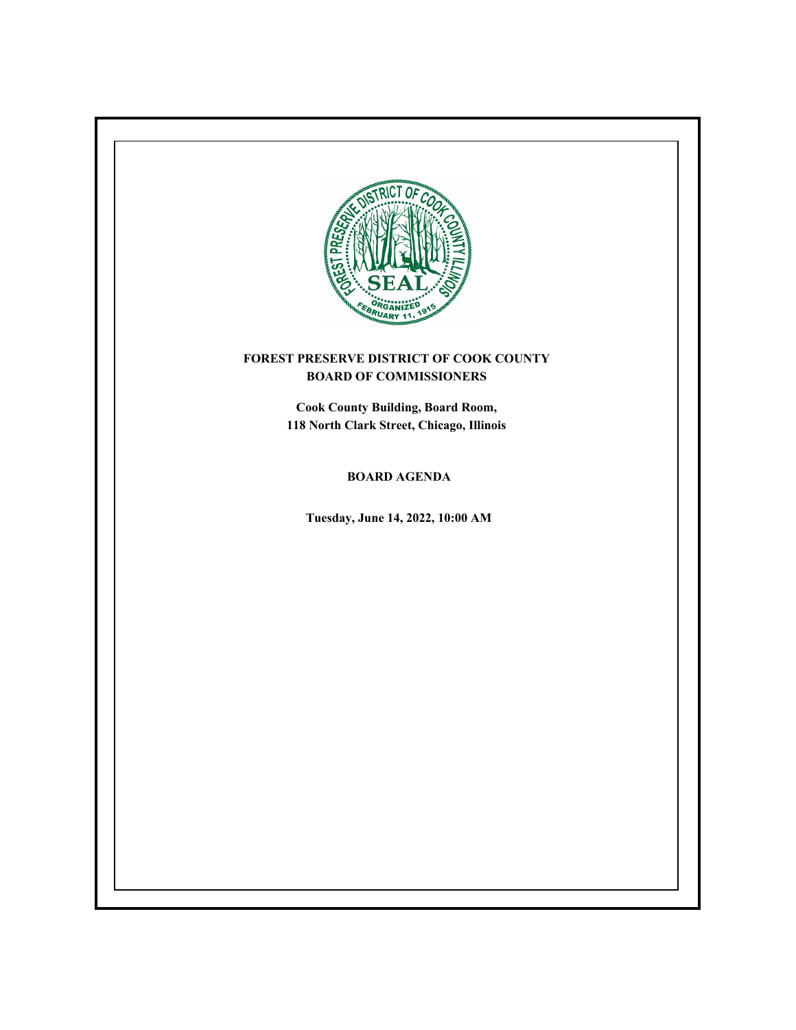

# **FOREST PRESERVE DISTRICT OF COOK COUNTY BOARD OF COMMISSIONERS**

**Cook County Building, Board Room, 118 North Clark Street, Chicago, Illinois**

**BOARD AGENDA**

**Tuesday, June 14, 2022, 10:00 AM**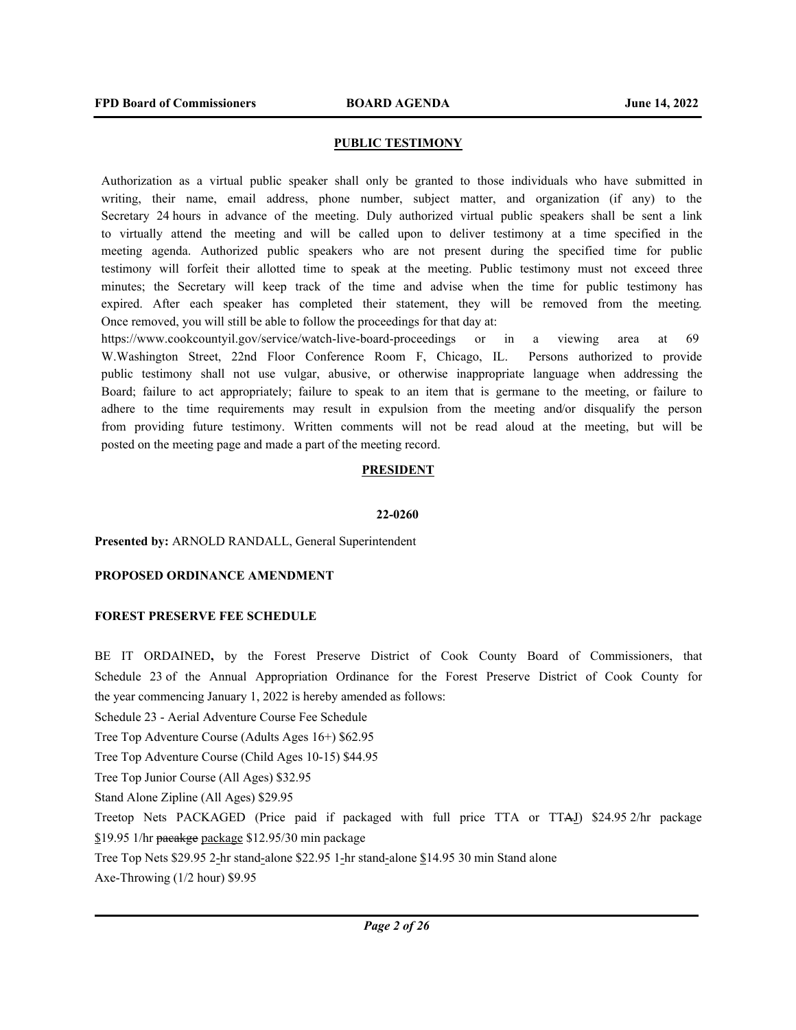## **PUBLIC TESTIMONY**

Authorization as a virtual public speaker shall only be granted to those individuals who have submitted in writing, their name, email address, phone number, subject matter, and organization (if any) to the Secretary 24 hours in advance of the meeting. Duly authorized virtual public speakers shall be sent a link to virtually attend the meeting and will be called upon to deliver testimony at a time specified in the meeting agenda. Authorized public speakers who are not present during the specified time for public testimony will forfeit their allotted time to speak at the meeting. Public testimony must not exceed three minutes; the Secretary will keep track of the time and advise when the time for public testimony has expired. After each speaker has completed their statement, they will be removed from the meeting. Once removed, you will still be able to follow the proceedings for that day at:

https://www.cookcountyil.gov/service/watch-live-board-proceedings or in a viewing area at 69 W.Washington Street, 22nd Floor Conference Room F, Chicago, IL. Persons authorized to provide public testimony shall not use vulgar, abusive, or otherwise inappropriate language when addressing the Board; failure to act appropriately; failure to speak to an item that is germane to the meeting, or failure to adhere to the time requirements may result in expulsion from the meeting and/or disqualify the person from providing future testimony. Written comments will not be read aloud at the meeting, but will be posted on the meeting page and made a part of the meeting record.

#### **PRESIDENT**

#### **22-0260**

#### **Presented by:** ARNOLD RANDALL, General Superintendent

#### **PROPOSED ORDINANCE AMENDMENT**

### **FOREST PRESERVE FEE SCHEDULE**

BE IT ORDAINED**,** by the Forest Preserve District of Cook County Board of Commissioners, that Schedule 23 of the Annual Appropriation Ordinance for the Forest Preserve District of Cook County for the year commencing January 1, 2022 is hereby amended as follows:

Schedule 23 - Aerial Adventure Course Fee Schedule

Tree Top Adventure Course (Adults Ages 16+) \$62.95

Tree Top Adventure Course (Child Ages 10-15) \$44.95

Tree Top Junior Course (All Ages) \$32.95

Stand Alone Zipline (All Ages) \$29.95

Treetop Nets PACKAGED (Price paid if packaged with full price TTA or TTAJ) \$24.95 2/hr package \$19.95 1/hr pacakge package \$12.95/30 min package

Tree Top Nets \$29.95 2-hr stand-alone \$22.95 1-hr stand-alone \$14.95 30 min Stand alone

Axe-Throwing (1/2 hour) \$9.95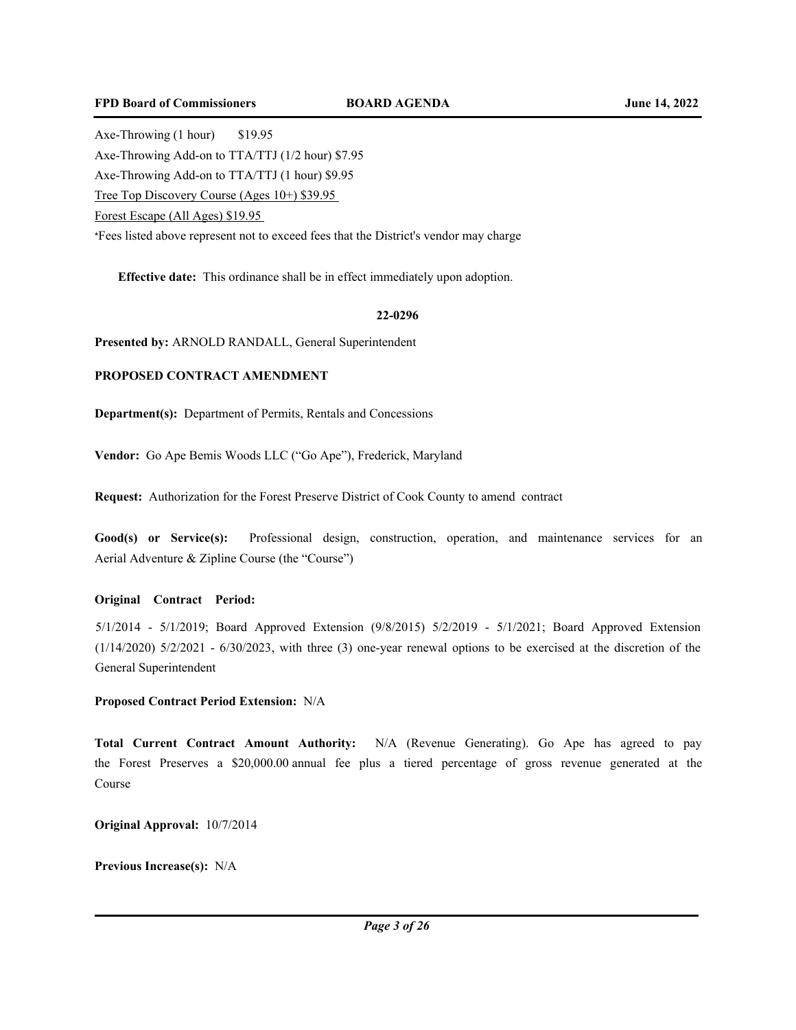Axe-Throwing (1 hour) \$19.95 Axe-Throwing Add-on to TTA/TTJ (1/2 hour) \$7.95 Axe-Throwing Add-on to TTA/TTJ (1 hour) \$9.95 Tree Top Discovery Course (Ages 10+) \$39.95 Forest Escape (All Ages) \$19.95 \*Fees listed above represent not to exceed fees that the District's vendor may charge

**Effective date:** This ordinance shall be in effect immediately upon adoption.

#### **22-0296**

**Presented by:** ARNOLD RANDALL, General Superintendent

## **PROPOSED CONTRACT AMENDMENT**

**Department(s):** Department of Permits, Rentals and Concessions

**Vendor:** Go Ape Bemis Woods LLC ("Go Ape"), Frederick, Maryland

**Request:** Authorization for the Forest Preserve District of Cook County to amend contract

**Good(s) or Service(s):** Professional design, construction, operation, and maintenance services for an Aerial Adventure & Zipline Course (the "Course")

### **Original Contract Period:**

5/1/2014 - 5/1/2019; Board Approved Extension (9/8/2015) 5/2/2019 - 5/1/2021; Board Approved Extension (1/14/2020) 5/2/2021 - 6/30/2023, with three (3) one-year renewal options to be exercised at the discretion of the General Superintendent

## **Proposed Contract Period Extension:** N/A

**Total Current Contract Amount Authority:** N/A (Revenue Generating). Go Ape has agreed to pay the Forest Preserves a \$20,000.00 annual fee plus a tiered percentage of gross revenue generated at the Course

**Original Approval:** 10/7/2014

**Previous Increase(s):** N/A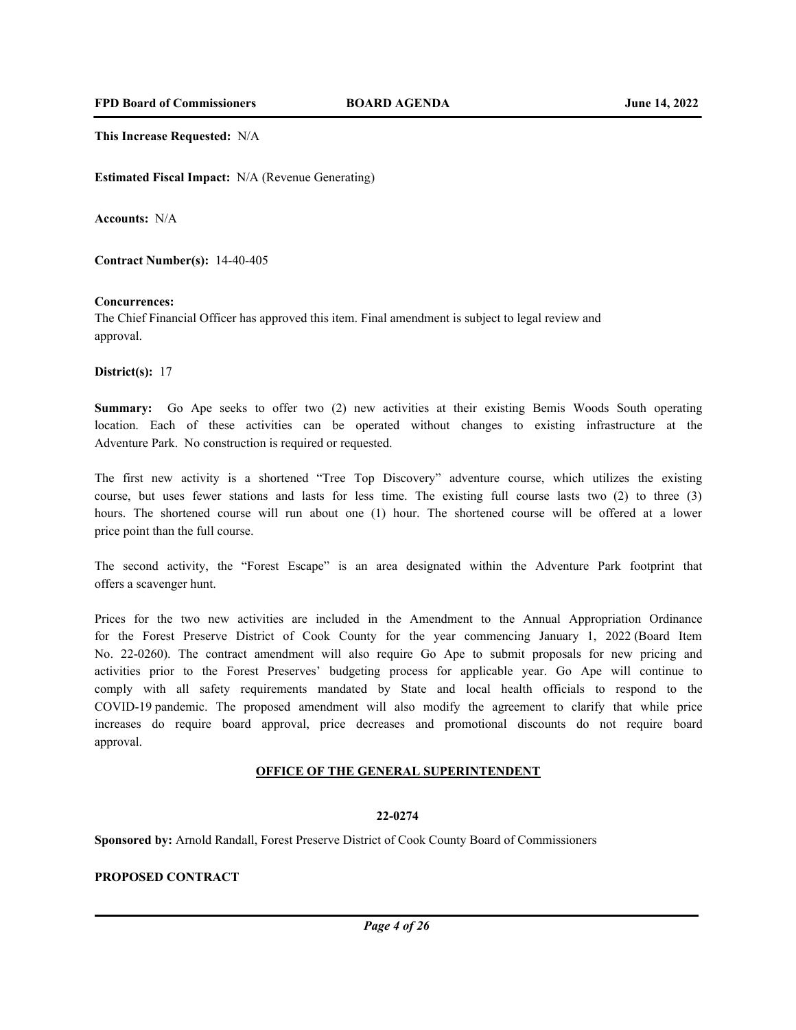**This Increase Requested:** N/A

**Estimated Fiscal Impact:** N/A (Revenue Generating)

**Accounts:** N/A

**Contract Number(s):** 14-40-405

#### **Concurrences:**

The Chief Financial Officer has approved this item. Final amendment is subject to legal review and approval.

**District(s):** 17

**Summary:** Go Ape seeks to offer two (2) new activities at their existing Bemis Woods South operating location. Each of these activities can be operated without changes to existing infrastructure at the Adventure Park. No construction is required or requested.

The first new activity is a shortened "Tree Top Discovery" adventure course, which utilizes the existing course, but uses fewer stations and lasts for less time. The existing full course lasts two (2) to three (3) hours. The shortened course will run about one (1) hour. The shortened course will be offered at a lower price point than the full course.

The second activity, the "Forest Escape" is an area designated within the Adventure Park footprint that offers a scavenger hunt.

Prices for the two new activities are included in the Amendment to the Annual Appropriation Ordinance for the Forest Preserve District of Cook County for the year commencing January 1, 2022 (Board Item No. 22-0260). The contract amendment will also require Go Ape to submit proposals for new pricing and activities prior to the Forest Preserves' budgeting process for applicable year. Go Ape will continue to comply with all safety requirements mandated by State and local health officials to respond to the COVID-19 pandemic. The proposed amendment will also modify the agreement to clarify that while price increases do require board approval, price decreases and promotional discounts do not require board approval.

#### **OFFICE OF THE GENERAL SUPERINTENDENT**

#### **22-0274**

**Sponsored by:** Arnold Randall, Forest Preserve District of Cook County Board of Commissioners

## **PROPOSED CONTRACT**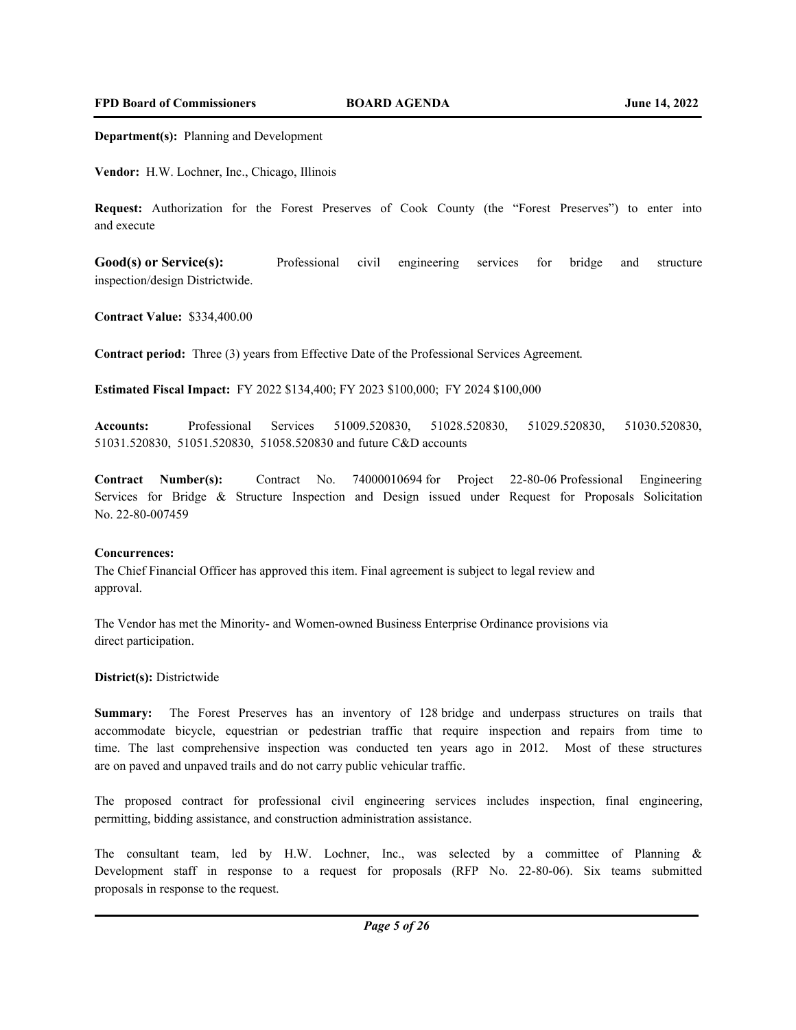**Department(s):** Planning and Development

**Vendor:** H.W. Lochner, Inc., Chicago, Illinois

**Request:** Authorization for the Forest Preserves of Cook County (the "Forest Preserves") to enter into and execute

Good(s) or Service(s): Professional civil engineering services for bridge and structure inspection/design Districtwide.

**Contract Value:** \$334,400.00

**Contract period:** Three (3) years from Effective Date of the Professional Services Agreement.

**Estimated Fiscal Impact:** FY 2022 \$134,400; FY 2023 \$100,000; FY 2024 \$100,000

**Accounts:** Professional Services 51009.520830, 51028.520830, 51029.520830, 51030.520830, 51031.520830, 51051.520830, 51058.520830 and future C&D accounts

**Contract Number(s):** Contract No. 74000010694 for Project 22-80-06 Professional Engineering Services for Bridge & Structure Inspection and Design issued under Request for Proposals Solicitation No. 22-80-007459

#### **Concurrences:**

The Chief Financial Officer has approved this item. Final agreement is subject to legal review and approval.

The Vendor has met the Minority- and Women-owned Business Enterprise Ordinance provisions via direct participation.

### **District(s):** Districtwide

**Summary:** The Forest Preserves has an inventory of 128 bridge and underpass structures on trails that accommodate bicycle, equestrian or pedestrian traffic that require inspection and repairs from time to time. The last comprehensive inspection was conducted ten years ago in 2012. Most of these structures are on paved and unpaved trails and do not carry public vehicular traffic.

The proposed contract for professional civil engineering services includes inspection, final engineering, permitting, bidding assistance, and construction administration assistance.

The consultant team, led by H.W. Lochner, Inc., was selected by a committee of Planning & Development staff in response to a request for proposals (RFP No. 22-80-06). Six teams submitted proposals in response to the request.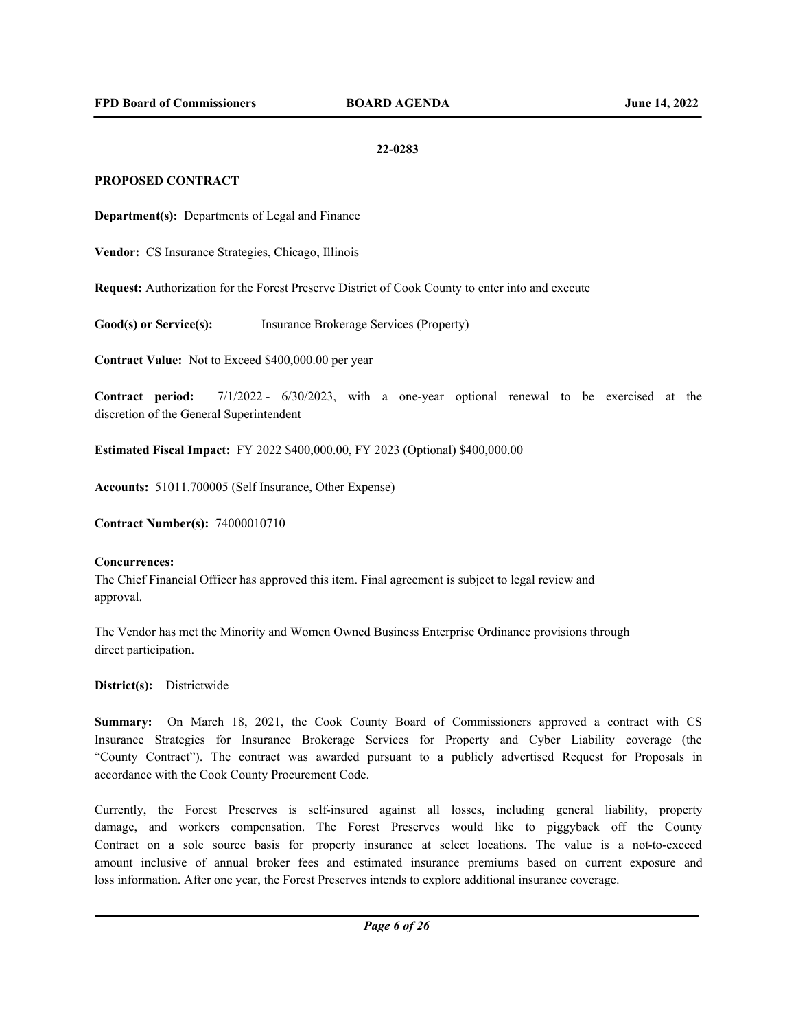### **22-0283**

## **PROPOSED CONTRACT**

**Department(s):** Departments of Legal and Finance

**Vendor:** CS Insurance Strategies, Chicago, Illinois

**Request:** Authorization for the Forest Preserve District of Cook County to enter into and execute

**Good(s) or Service(s):** Insurance Brokerage Services (Property)

**Contract Value:** Not to Exceed \$400,000.00 per year

**Contract period:** 7/1/2022 - 6/30/2023, with a one-year optional renewal to be exercised at the discretion of the General Superintendent

**Estimated Fiscal Impact:** FY 2022 \$400,000.00, FY 2023 (Optional) \$400,000.00

**Accounts:** 51011.700005 (Self Insurance, Other Expense)

**Contract Number(s):** 74000010710

#### **Concurrences:**

The Chief Financial Officer has approved this item. Final agreement is subject to legal review and approval.

The Vendor has met the Minority and Women Owned Business Enterprise Ordinance provisions through direct participation.

**District(s):** Districtwide

**Summary:** On March 18, 2021, the Cook County Board of Commissioners approved a contract with CS Insurance Strategies for Insurance Brokerage Services for Property and Cyber Liability coverage (the "County Contract"). The contract was awarded pursuant to a publicly advertised Request for Proposals in accordance with the Cook County Procurement Code.

Currently, the Forest Preserves is self-insured against all losses, including general liability, property damage, and workers compensation. The Forest Preserves would like to piggyback off the County Contract on a sole source basis for property insurance at select locations. The value is a not-to-exceed amount inclusive of annual broker fees and estimated insurance premiums based on current exposure and loss information. After one year, the Forest Preserves intends to explore additional insurance coverage.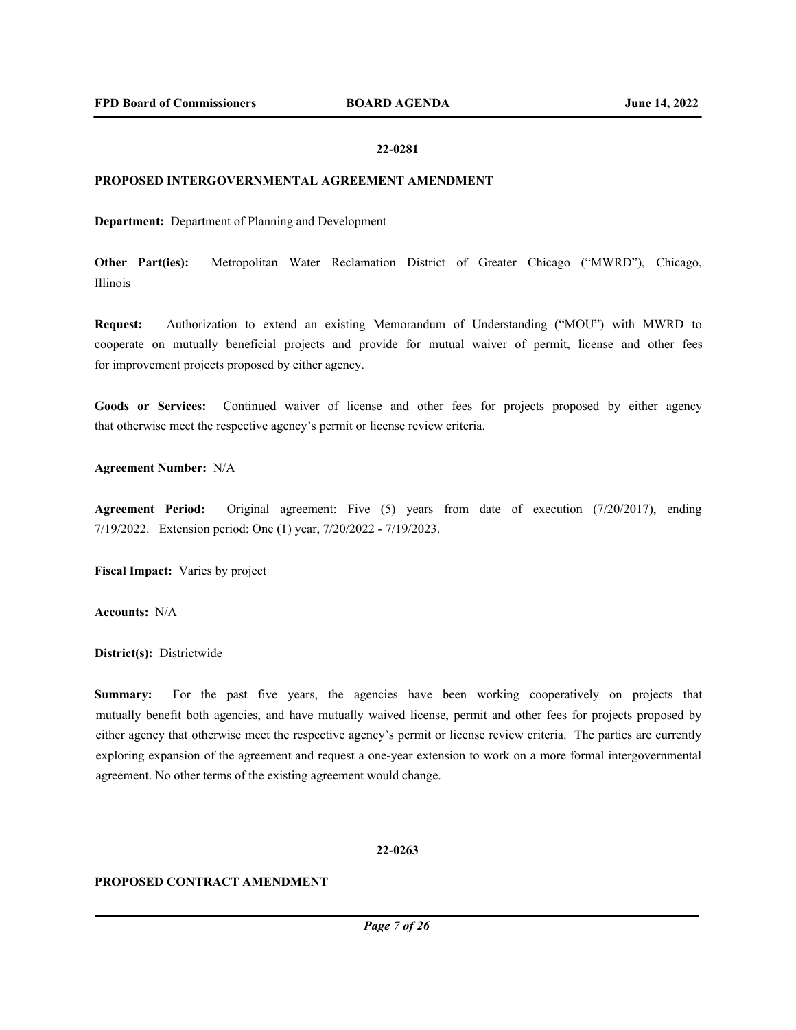### **22-0281**

#### **PROPOSED INTERGOVERNMENTAL AGREEMENT AMENDMENT**

**Department:** Department of Planning and Development

**Other Part(ies):** Metropolitan Water Reclamation District of Greater Chicago ("MWRD"), Chicago, Illinois

**Request:** Authorization to extend an existing Memorandum of Understanding ("MOU") with MWRD to cooperate on mutually beneficial projects and provide for mutual waiver of permit, license and other fees for improvement projects proposed by either agency.

Goods or Services: Continued waiver of license and other fees for projects proposed by either agency that otherwise meet the respective agency's permit or license review criteria.

#### **Agreement Number:** N/A

**Agreement Period:** Original agreement: Five (5) years from date of execution (7/20/2017), ending 7/19/2022. Extension period: One (1) year, 7/20/2022 - 7/19/2023.

**Fiscal Impact:** Varies by project

**Accounts:** N/A

**District(s):** Districtwide

**Summary:** For the past five years, the agencies have been working cooperatively on projects that mutually benefit both agencies, and have mutually waived license, permit and other fees for projects proposed by either agency that otherwise meet the respective agency's permit or license review criteria. The parties are currently exploring expansion of the agreement and request a one-year extension to work on a more formal intergovernmental agreement. No other terms of the existing agreement would change.

#### **22-0263**

## **PROPOSED CONTRACT AMENDMENT**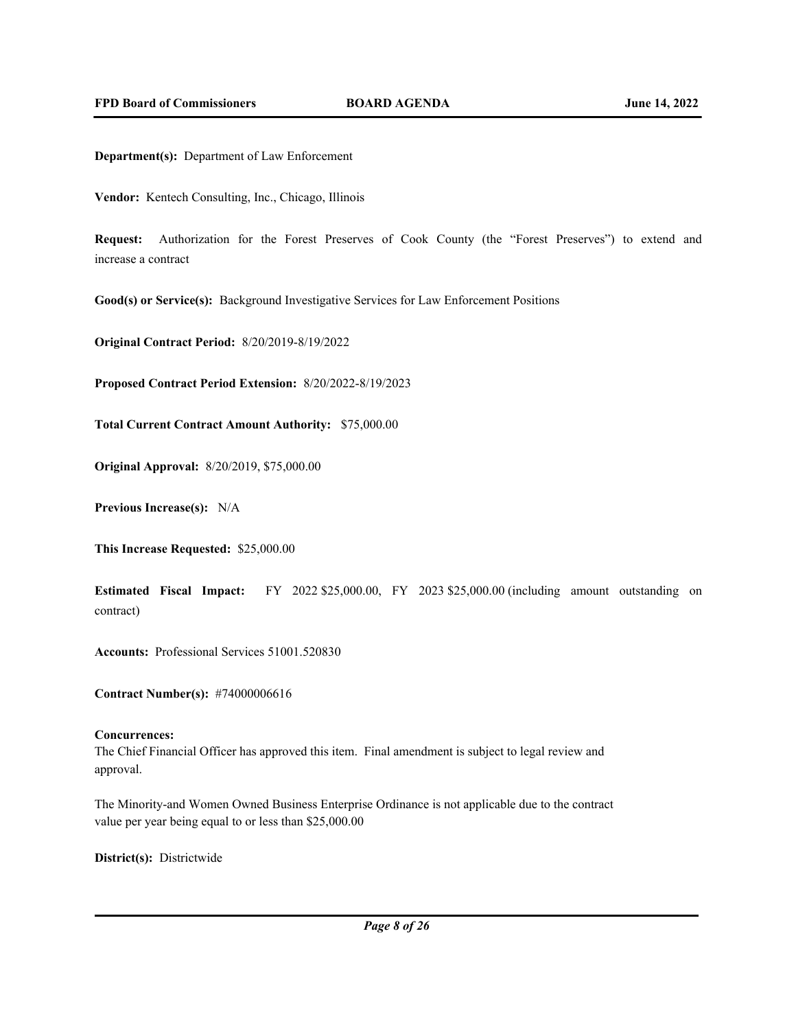**Department(s):** Department of Law Enforcement

**Vendor:** Kentech Consulting, Inc., Chicago, Illinois

**Request:** Authorization for the Forest Preserves of Cook County (the "Forest Preserves") to extend and increase a contract

**Good(s) or Service(s):** Background Investigative Services for Law Enforcement Positions

**Original Contract Period:** 8/20/2019-8/19/2022

**Proposed Contract Period Extension:** 8/20/2022-8/19/2023

**Total Current Contract Amount Authority:** \$75,000.00

**Original Approval:** 8/20/2019, \$75,000.00

**Previous Increase(s):** N/A

**This Increase Requested:** \$25,000.00

**Estimated Fiscal Impact:** FY 2022 \$25,000.00, FY 2023 \$25,000.00 (including amount outstanding on contract)

**Accounts:** Professional Services 51001.520830

**Contract Number(s):** #74000006616

#### **Concurrences:**

The Chief Financial Officer has approved this item. Final amendment is subject to legal review and approval.

The Minority-and Women Owned Business Enterprise Ordinance is not applicable due to the contract value per year being equal to or less than \$25,000.00

**District(s):** Districtwide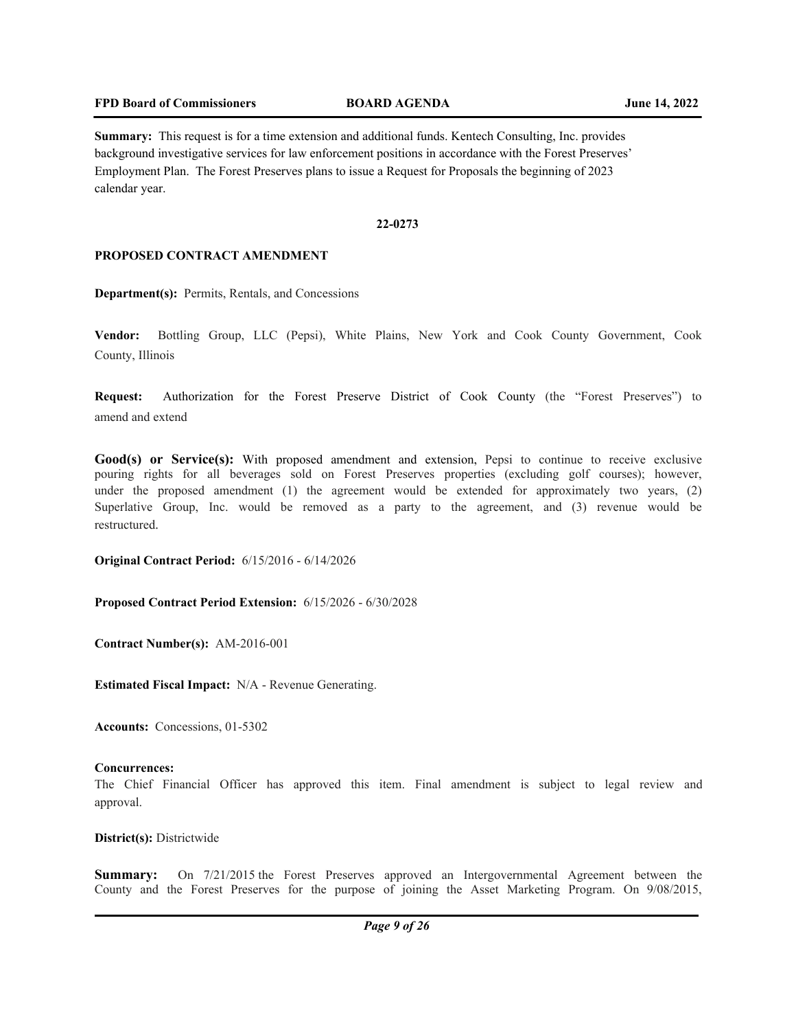**Summary:** This request is for a time extension and additional funds. Kentech Consulting, Inc. provides background investigative services for law enforcement positions in accordance with the Forest Preserves' Employment Plan. The Forest Preserves plans to issue a Request for Proposals the beginning of 2023 calendar year.

### **22-0273**

## **PROPOSED CONTRACT AMENDMENT**

**Department(s):** Permits, Rentals, and Concessions

**Vendor:** Bottling Group, LLC (Pepsi), White Plains, New York and Cook County Government, Cook County, Illinois

**Request:** Authorization for the Forest Preserve District of Cook County (the "Forest Preserves") to amend and extend

Good(s) or Service(s): With proposed amendment and extension, Pepsi to continue to receive exclusive pouring rights for all beverages sold on Forest Preserves properties (excluding golf courses); however, under the proposed amendment (1) the agreement would be extended for approximately two years, (2) Superlative Group, Inc. would be removed as a party to the agreement, and (3) revenue would be restructured.

**Original Contract Period:** 6/15/2016 - 6/14/2026

**Proposed Contract Period Extension:** 6/15/2026 - 6/30/2028

**Contract Number(s):** AM-2016-001

**Estimated Fiscal Impact:** N/A - Revenue Generating.

**Accounts:** Concessions, 01-5302

#### **Concurrences:**

The Chief Financial Officer has approved this item. Final amendment is subject to legal review and approval.

**District(s):** Districtwide

**Summary:** On  $7/21/2015$  the Forest Preserves approved an Intergovernmental Agreement between the County and the Forest Preserves for the purpose of joining the Asset Marketing Program. On 9/08/2015,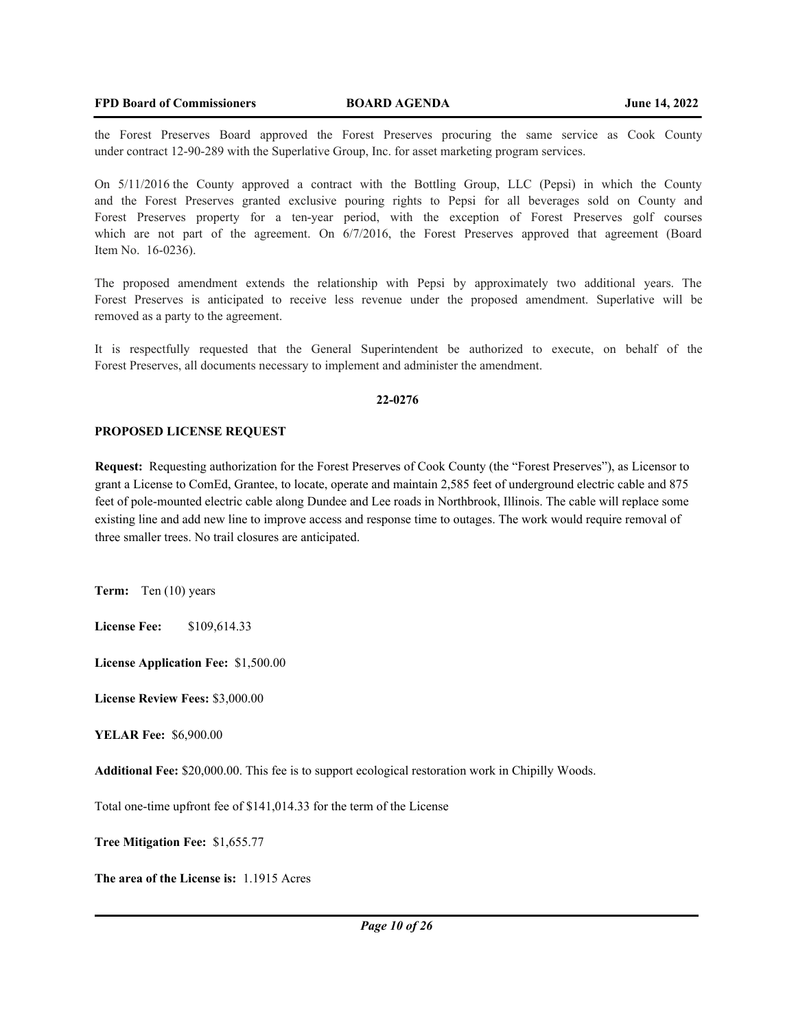the Forest Preserves Board approved the Forest Preserves procuring the same service as Cook County under contract 12-90-289 with the Superlative Group, Inc. for asset marketing program services.

On 5/11/2016 the County approved a contract with the Bottling Group, LLC (Pepsi) in which the County and the Forest Preserves granted exclusive pouring rights to Pepsi for all beverages sold on County and Forest Preserves property for a ten-year period, with the exception of Forest Preserves golf courses which are not part of the agreement. On 6/7/2016, the Forest Preserves approved that agreement (Board Item No. 16-0236).

The proposed amendment extends the relationship with Pepsi by approximately two additional years. The Forest Preserves is anticipated to receive less revenue under the proposed amendment. Superlative will be removed as a party to the agreement.

It is respectfully requested that the General Superintendent be authorized to execute, on behalf of the Forest Preserves, all documents necessary to implement and administer the amendment.

### **22-0276**

#### **PROPOSED LICENSE REQUEST**

**Request:** Requesting authorization for the Forest Preserves of Cook County (the "Forest Preserves"), as Licensor to grant a License to ComEd, Grantee, to locate, operate and maintain 2,585 feet of underground electric cable and 875 feet of pole-mounted electric cable along Dundee and Lee roads in Northbrook, Illinois. The cable will replace some existing line and add new line to improve access and response time to outages. The work would require removal of three smaller trees. No trail closures are anticipated.

**Term:** Ten (10) years

**License Fee:** \$109,614.33

**License Application Fee:** \$1,500.00

**License Review Fees:** \$3,000.00

**YELAR Fee:** \$6,900.00

**Additional Fee:** \$20,000.00. This fee is to support ecological restoration work in Chipilly Woods.

Total one-time upfront fee of \$141,014.33 for the term of the License

**Tree Mitigation Fee:** \$1,655.77

**The area of the License is:** 1.1915 Acres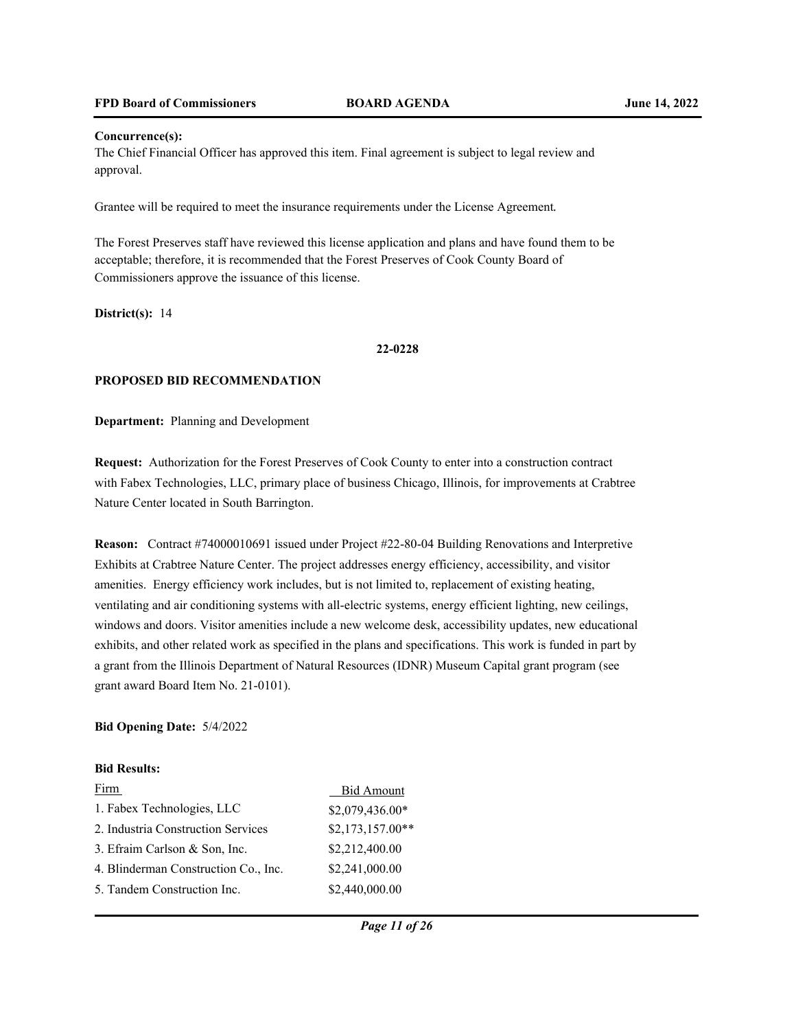#### **Concurrence(s):**

The Chief Financial Officer has approved this item. Final agreement is subject to legal review and approval.

Grantee will be required to meet the insurance requirements under the License Agreement.

The Forest Preserves staff have reviewed this license application and plans and have found them to be acceptable; therefore, it is recommended that the Forest Preserves of Cook County Board of Commissioners approve the issuance of this license.

**District(s):** 14

#### **22-0228**

#### **PROPOSED BID RECOMMENDATION**

**Department:** Planning and Development

**Request:** Authorization for the Forest Preserves of Cook County to enter into a construction contract with Fabex Technologies, LLC, primary place of business Chicago, Illinois, for improvements at Crabtree Nature Center located in South Barrington.

**Reason:** Contract #74000010691 issued under Project #22-80-04 Building Renovations and Interpretive Exhibits at Crabtree Nature Center. The project addresses energy efficiency, accessibility, and visitor amenities. Energy efficiency work includes, but is not limited to, replacement of existing heating, ventilating and air conditioning systems with all-electric systems, energy efficient lighting, new ceilings, windows and doors. Visitor amenities include a new welcome desk, accessibility updates, new educational exhibits, and other related work as specified in the plans and specifications. This work is funded in part by a grant from the Illinois Department of Natural Resources (IDNR) Museum Capital grant program (see grant award Board Item No. 21-0101).

### **Bid Opening Date:** 5/4/2022

#### **Bid Results:**

| Firm                                 | <b>Bid Amount</b> |
|--------------------------------------|-------------------|
| 1. Fabex Technologies, LLC           | \$2,079,436.00*   |
| 2. Industria Construction Services   | $$2,173,157.00**$ |
| 3. Efraim Carlson & Son, Inc.        | \$2,212,400.00    |
| 4. Blinderman Construction Co., Inc. | \$2,241,000.00    |
| 5. Tandem Construction Inc.          | \$2,440,000.00    |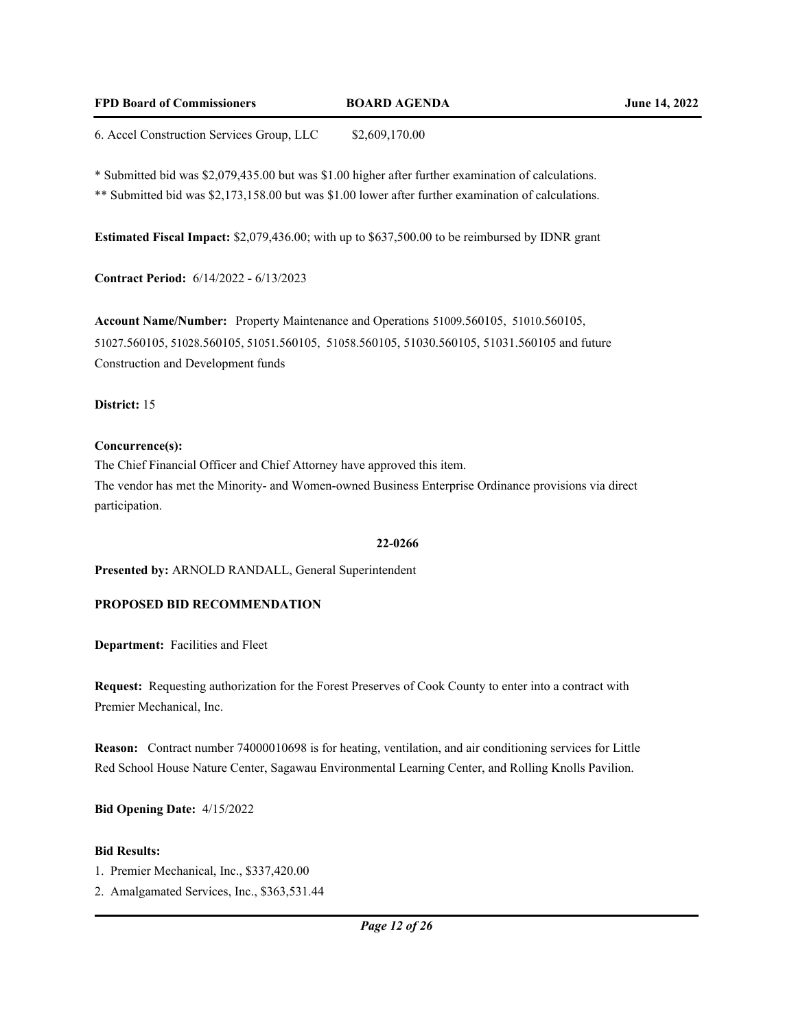## **FPD Board of Commissioners BOARD AGENDA June 14, 2022**

6. Accel Construction Services Group, LLC \$2,609,170.00

\* Submitted bid was \$2,079,435.00 but was \$1.00 higher after further examination of calculations.

\*\* Submitted bid was \$2,173,158.00 but was \$1.00 lower after further examination of calculations.

**Estimated Fiscal Impact:** \$2,079,436.00; with up to \$637,500.00 to be reimbursed by IDNR grant

**Contract Period:** 6/14/2022 **-** 6/13/2023

**Account Name/Number:** Property Maintenance and Operations 51009.560105, 51010.560105, 51027.560105, 51028.560105, 51051.560105, 51058.560105, 51030.560105, 51031.560105 and future Construction and Development funds

## **District:** 15

## **Concurrence(s):**

The Chief Financial Officer and Chief Attorney have approved this item. The vendor has met the Minority- and Women-owned Business Enterprise Ordinance provisions via direct participation.

## **22-0266**

**Presented by:** ARNOLD RANDALL, General Superintendent

# **PROPOSED BID RECOMMENDATION**

**Department:** Facilities and Fleet

**Request:** Requesting authorization for the Forest Preserves of Cook County to enter into a contract with Premier Mechanical, Inc.

**Reason:** Contract number 74000010698 is for heating, ventilation, and air conditioning services for Little Red School House Nature Center, Sagawau Environmental Learning Center, and Rolling Knolls Pavilion.

**Bid Opening Date:** 4/15/2022

## **Bid Results:**

1. Premier Mechanical, Inc., \$337,420.00

2. Amalgamated Services, Inc., \$363,531.44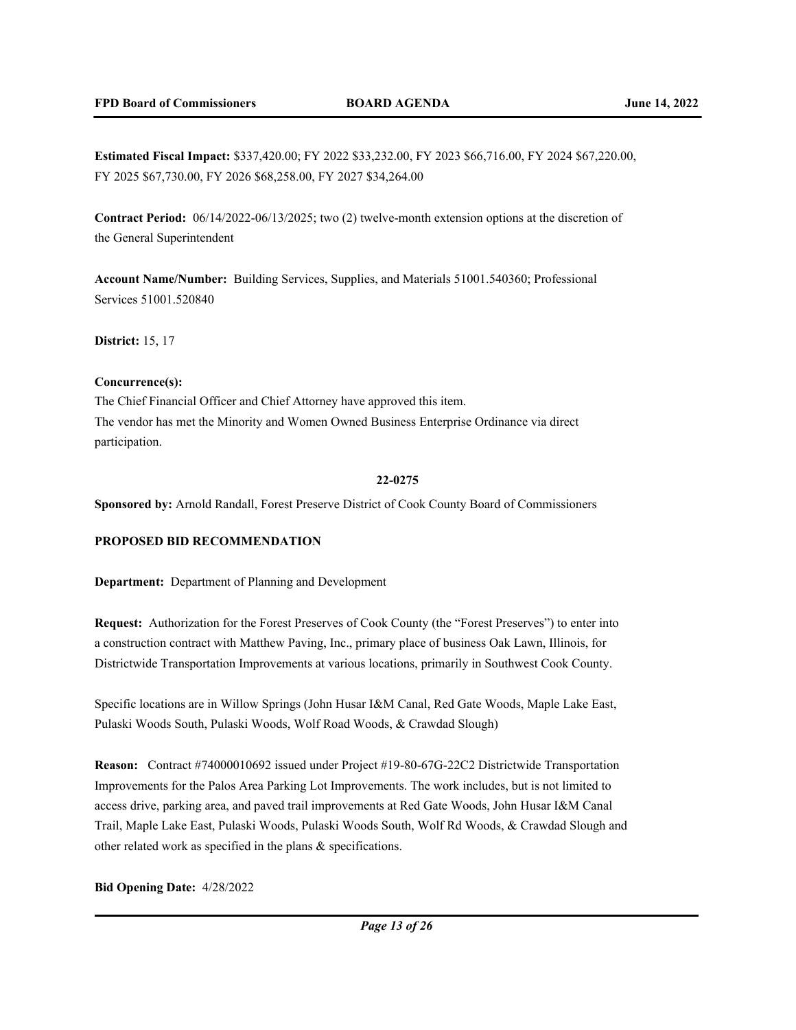**Estimated Fiscal Impact:** \$337,420.00; FY 2022 \$33,232.00, FY 2023 \$66,716.00, FY 2024 \$67,220.00, FY 2025 \$67,730.00, FY 2026 \$68,258.00, FY 2027 \$34,264.00

**Contract Period:** 06/14/2022-06/13/2025; two (2) twelve-month extension options at the discretion of the General Superintendent

**Account Name/Number:** Building Services, Supplies, and Materials 51001.540360; Professional Services 51001.520840

**District:** 15, 17

### **Concurrence(s):**

The Chief Financial Officer and Chief Attorney have approved this item. The vendor has met the Minority and Women Owned Business Enterprise Ordinance via direct participation.

#### **22-0275**

**Sponsored by:** Arnold Randall, Forest Preserve District of Cook County Board of Commissioners

## **PROPOSED BID RECOMMENDATION**

**Department:** Department of Planning and Development

**Request:** Authorization for the Forest Preserves of Cook County (the "Forest Preserves") to enter into a construction contract with Matthew Paving, Inc., primary place of business Oak Lawn, Illinois, for Districtwide Transportation Improvements at various locations, primarily in Southwest Cook County.

Specific locations are in Willow Springs (John Husar I&M Canal, Red Gate Woods, Maple Lake East, Pulaski Woods South, Pulaski Woods, Wolf Road Woods, & Crawdad Slough)

**Reason:** Contract #74000010692 issued under Project #19-80-67G-22C2 Districtwide Transportation Improvements for the Palos Area Parking Lot Improvements. The work includes, but is not limited to access drive, parking area, and paved trail improvements at Red Gate Woods, John Husar I&M Canal Trail, Maple Lake East, Pulaski Woods, Pulaski Woods South, Wolf Rd Woods, & Crawdad Slough and other related work as specified in the plans & specifications.

### **Bid Opening Date:** 4/28/2022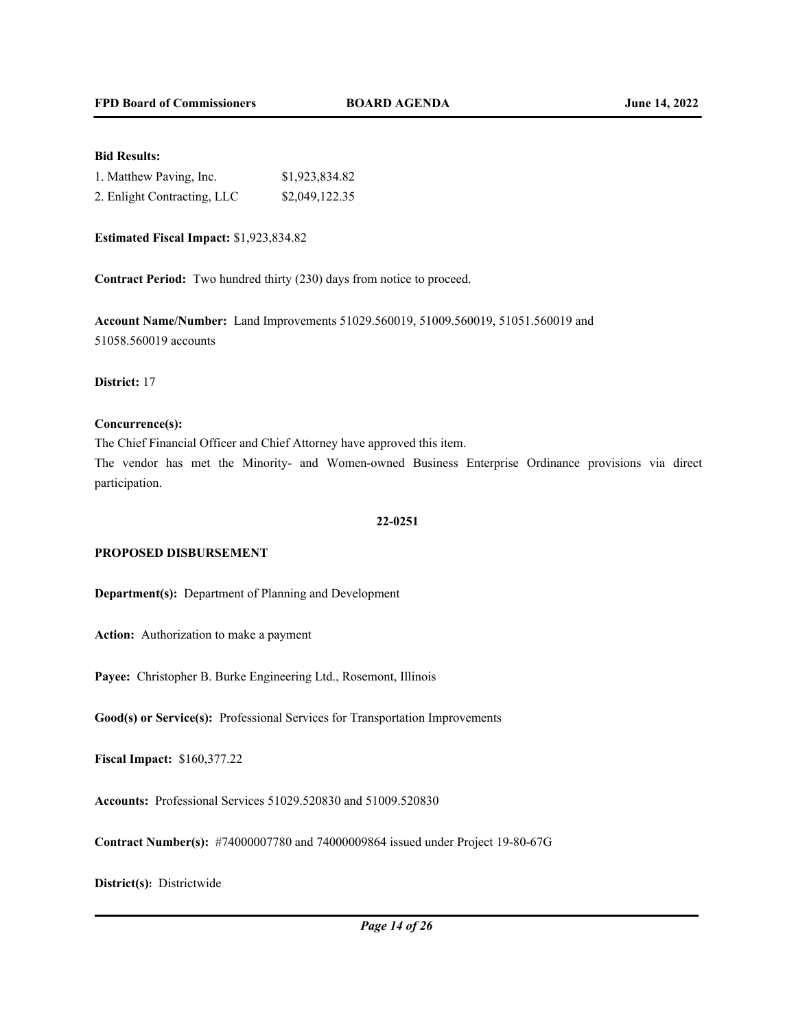## **Bid Results:**

| 1. Matthew Paving, Inc.     | \$1,923,834.82 |
|-----------------------------|----------------|
| 2. Enlight Contracting, LLC | \$2,049,122.35 |

**Estimated Fiscal Impact:** \$1,923,834.82

**Contract Period:** Two hundred thirty (230) days from notice to proceed.

**Account Name/Number:** Land Improvements 51029.560019, 51009.560019, 51051.560019 and 51058.560019 accounts

**District:** 17

#### **Concurrence(s):**

The Chief Financial Officer and Chief Attorney have approved this item.

The vendor has met the Minority- and Women-owned Business Enterprise Ordinance provisions via direct participation.

#### **22-0251**

#### **PROPOSED DISBURSEMENT**

**Department(s):** Department of Planning and Development

**Action:** Authorization to make a payment

**Payee:** Christopher B. Burke Engineering Ltd., Rosemont, Illinois

**Good(s) or Service(s):** Professional Services for Transportation Improvements

**Fiscal Impact:** \$160,377.22

**Accounts:** Professional Services 51029.520830 and 51009.520830

**Contract Number(s):** #74000007780 and 74000009864 issued under Project 19-80-67G

## **District(s):** Districtwide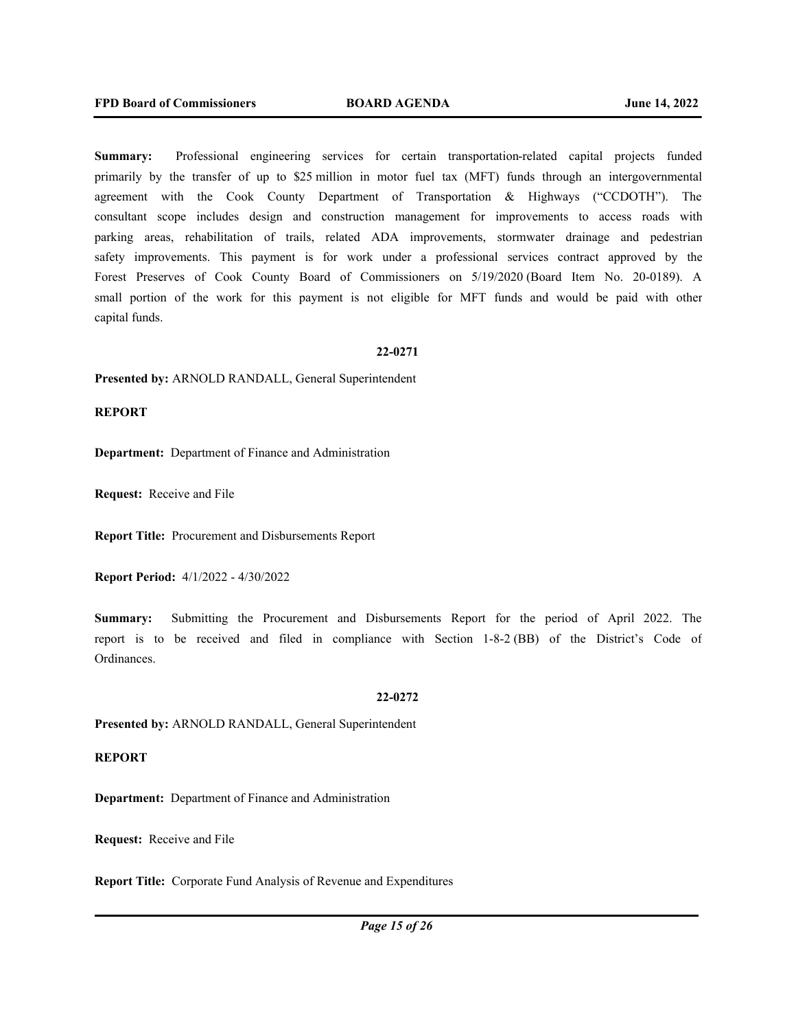**Summary:** Professional engineering services for certain transportation-related capital projects funded primarily by the transfer of up to \$25 million in motor fuel tax (MFT) funds through an intergovernmental agreement with the Cook County Department of Transportation & Highways ("CCDOTH"). The consultant scope includes design and construction management for improvements to access roads with parking areas, rehabilitation of trails, related ADA improvements, stormwater drainage and pedestrian safety improvements. This payment is for work under a professional services contract approved by the Forest Preserves of Cook County Board of Commissioners on 5/19/2020 (Board Item No. 20-0189). A small portion of the work for this payment is not eligible for MFT funds and would be paid with other capital funds.

#### **22-0271**

**Presented by:** ARNOLD RANDALL, General Superintendent

### **REPORT**

**Department:** Department of Finance and Administration

**Request:** Receive and File

**Report Title:** Procurement and Disbursements Report

**Report Period:** 4/1/2022 - 4/30/2022

**Summary:** Submitting the Procurement and Disbursements Report for the period of April 2022. The report is to be received and filed in compliance with Section 1-8-2 (BB) of the District's Code of Ordinances.

#### **22-0272**

**Presented by:** ARNOLD RANDALL, General Superintendent

## **REPORT**

**Department:** Department of Finance and Administration

**Request:** Receive and File

**Report Title:** Corporate Fund Analysis of Revenue and Expenditures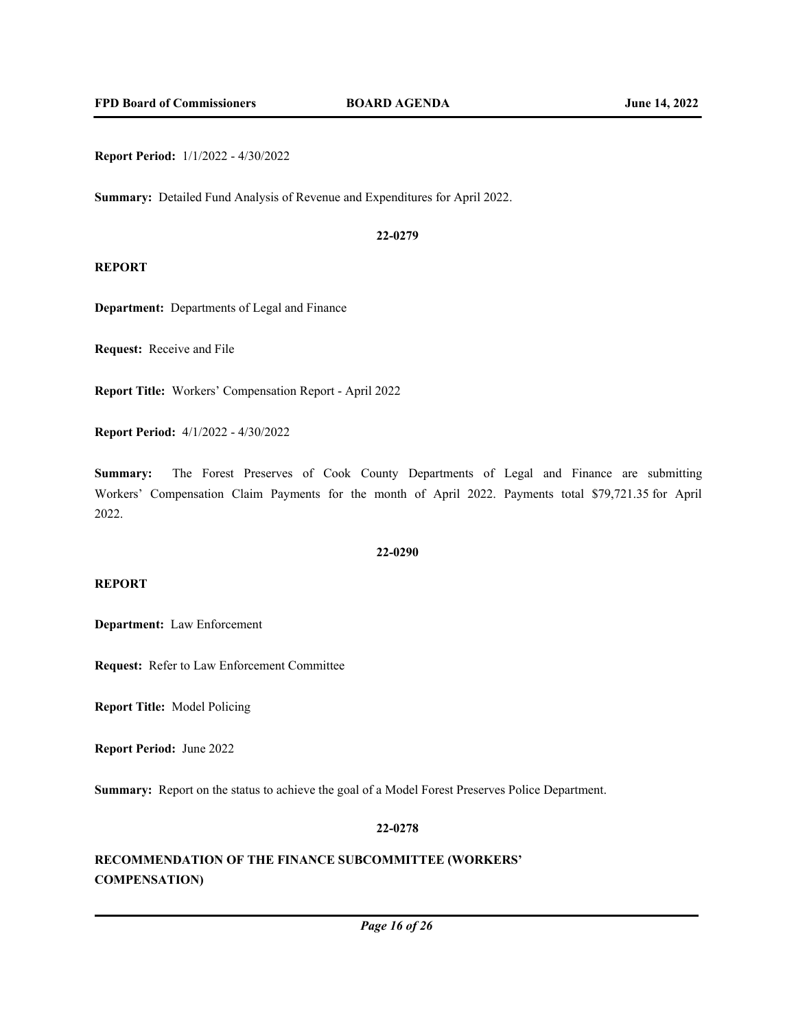**Report Period:** 1/1/2022 - 4/30/2022

**Summary:** Detailed Fund Analysis of Revenue and Expenditures for April 2022.

#### **22-0279**

## **REPORT**

**Department:** Departments of Legal and Finance

**Request:** Receive and File

**Report Title:** Workers' Compensation Report - April 2022

**Report Period:** 4/1/2022 - 4/30/2022

**Summary:** The Forest Preserves of Cook County Departments of Legal and Finance are submitting Workers' Compensation Claim Payments for the month of April 2022. Payments total \$79,721.35 for April 2022.

### **22-0290**

#### **REPORT**

**Department:** Law Enforcement

**Request:** Refer to Law Enforcement Committee

**Report Title:** Model Policing

**Report Period:** June 2022

**Summary:** Report on the status to achieve the goal of a Model Forest Preserves Police Department.

#### **22-0278**

# **RECOMMENDATION OF THE FINANCE SUBCOMMITTEE (WORKERS' COMPENSATION)**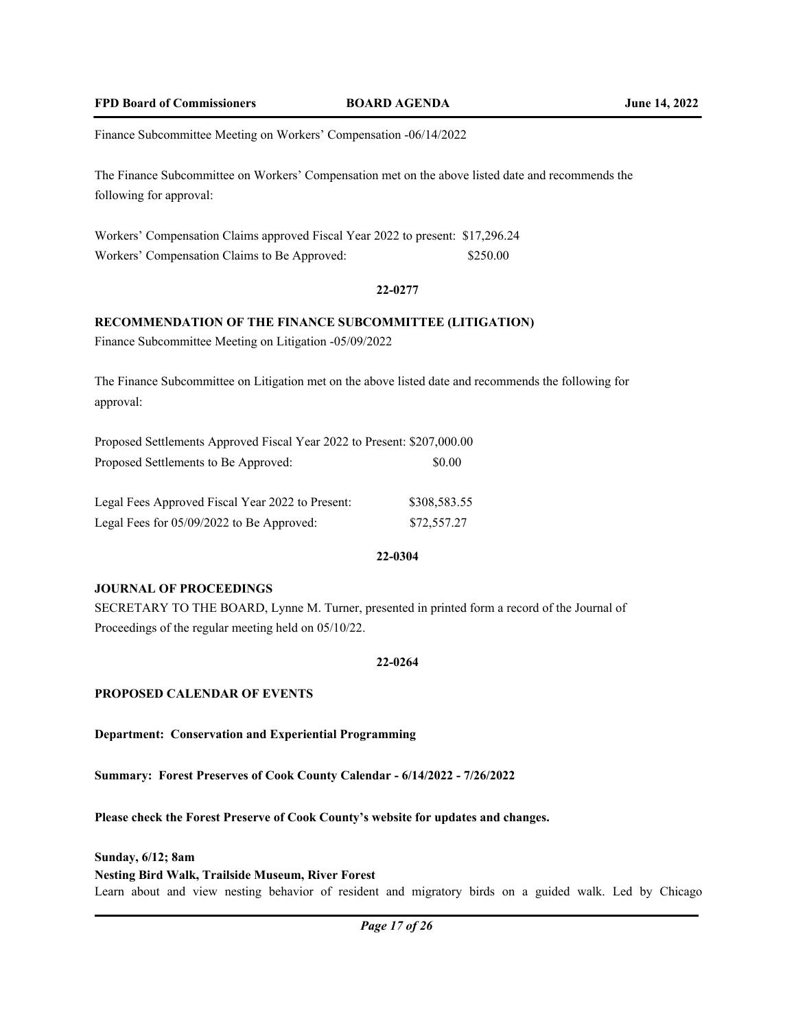Finance Subcommittee Meeting on Workers' Compensation -06/14/2022

The Finance Subcommittee on Workers' Compensation met on the above listed date and recommends the following for approval:

Workers' Compensation Claims approved Fiscal Year 2022 to present: \$17,296.24 Workers' Compensation Claims to Be Approved: \$250.00

#### **22-0277**

## **RECOMMENDATION OF THE FINANCE SUBCOMMITTEE (LITIGATION)**

Finance Subcommittee Meeting on Litigation -05/09/2022

The Finance Subcommittee on Litigation met on the above listed date and recommends the following for approval:

| Proposed Settlements Approved Fiscal Year 2022 to Present: \$207,000.00 |        |
|-------------------------------------------------------------------------|--------|
| Proposed Settlements to Be Approved:                                    | \$0.00 |
|                                                                         |        |

| Legal Fees Approved Fiscal Year 2022 to Present: | \$308,583.55 |
|--------------------------------------------------|--------------|
| Legal Fees for 05/09/2022 to Be Approved:        | \$72,557.27  |

### **22-0304**

### **JOURNAL OF PROCEEDINGS**

SECRETARY TO THE BOARD, Lynne M. Turner, presented in printed form a record of the Journal of Proceedings of the regular meeting held on 05/10/22.

### **22-0264**

## **PROPOSED CALENDAR OF EVENTS**

**Department: Conservation and Experiential Programming**

**Summary: Forest Preserves of Cook County Calendar - 6/14/2022 - 7/26/2022**

**Please check the Forest Preserve of Cook County's website for updates and changes.**

**Sunday, 6/12; 8am** 

#### **Nesting Bird Walk, Trailside Museum, River Forest**

Learn about and view nesting behavior of resident and migratory birds on a guided walk. Led by Chicago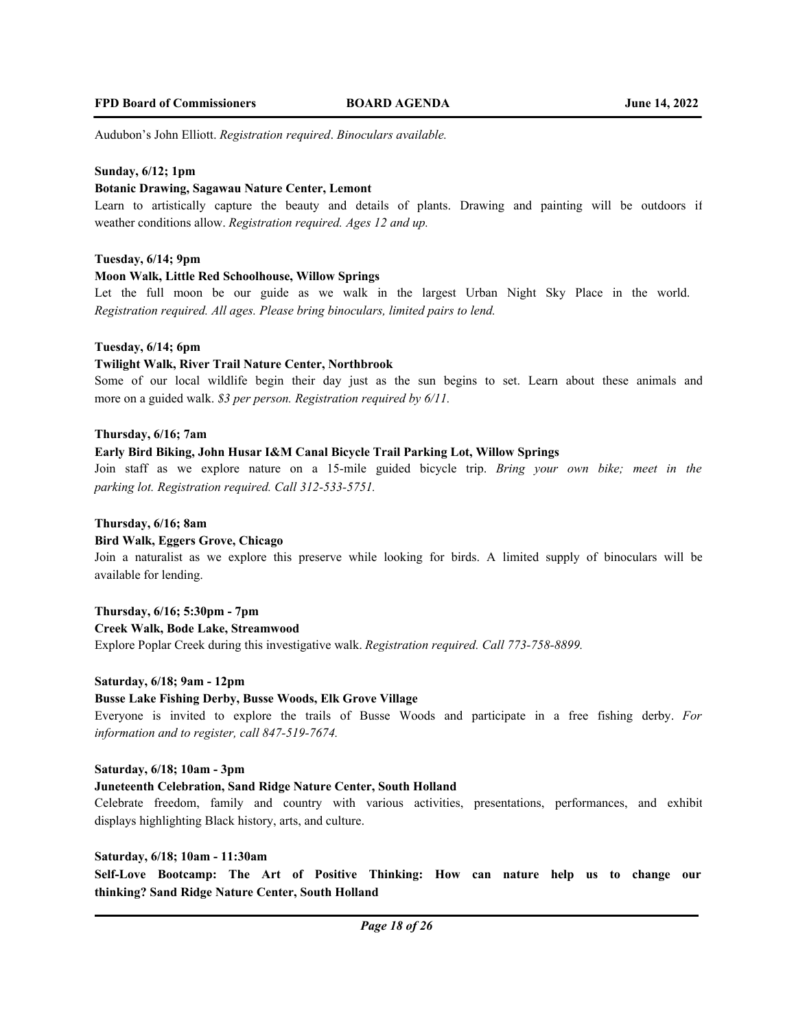Audubon's John Elliott. *Registration required*. *Binoculars available.* 

## **Sunday, 6/12; 1pm**

#### **Botanic Drawing, Sagawau Nature Center, Lemont**

Learn to artistically capture the beauty and details of plants. Drawing and painting will be outdoors if weather conditions allow. *Registration required. Ages 12 and up.*

## **Tuesday, 6/14; 9pm**

#### **Moon Walk, Little Red Schoolhouse, Willow Springs**

Let the full moon be our guide as we walk in the largest Urban Night Sky Place in the world. *Registration required. All ages. Please bring binoculars, limited pairs to lend.*

#### **Tuesday, 6/14; 6pm**

## **Twilight Walk, River Trail Nature Center, Northbrook**

Some of our local wildlife begin their day just as the sun begins to set. Learn about these animals and more on a guided walk. *\$3 per person. Registration required by 6/11.* 

#### **Thursday, 6/16; 7am**

#### **Early Bird Biking, John Husar I&M Canal Bicycle Trail Parking Lot, Willow Springs**

Join staff as we explore nature on a 15-mile guided bicycle trip. *Bring your own bike; meet in the parking lot. Registration required. Call 312-533-5751.*

### **Thursday, 6/16; 8am**

#### **Bird Walk, Eggers Grove, Chicago**

Join a naturalist as we explore this preserve while looking for birds. A limited supply of binoculars will be available for lending.

## **Thursday, 6/16; 5:30pm - 7pm**

#### **Creek Walk, Bode Lake, Streamwood**

Explore Poplar Creek during this investigative walk. *Registration required. Call 773-758-8899.*

### **Saturday, 6/18; 9am - 12pm**

### **Busse Lake Fishing Derby, Busse Woods, Elk Grove Village**

Everyone is invited to explore the trails of Busse Woods and participate in a free fishing derby. *For information and to register, call 847-519-7674.*

### **Saturday, 6/18; 10am - 3pm**

### **Juneteenth Celebration, Sand Ridge Nature Center, South Holland**

Celebrate freedom, family and country with various activities, presentations, performances, and exhibit displays highlighting Black history, arts, and culture.

#### **Saturday, 6/18; 10am - 11:30am**

**Self-Love Bootcamp: The Art of Positive Thinking: How can nature help us to change our thinking? Sand Ridge Nature Center, South Holland**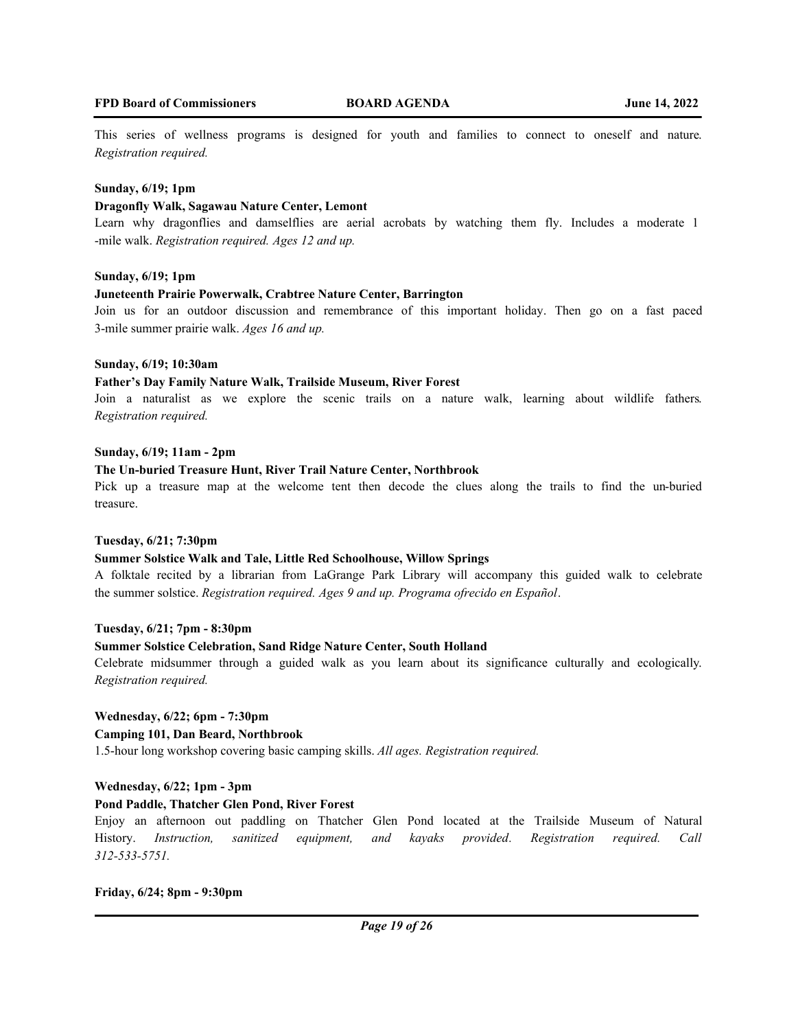This series of wellness programs is designed for youth and families to connect to oneself and nature. *Registration required.*

#### **Sunday, 6/19; 1pm**

#### **Dragonfly Walk, Sagawau Nature Center, Lemont**

Learn why dragonflies and damselflies are aerial acrobats by watching them fly. Includes a moderate 1 -mile walk. *Registration required. Ages 12 and up.* 

#### **Sunday, 6/19; 1pm**

#### **Juneteenth Prairie Powerwalk, Crabtree Nature Center, Barrington**

Join us for an outdoor discussion and remembrance of this important holiday. Then go on a fast paced 3-mile summer prairie walk. *Ages 16 and up.*

### **Sunday, 6/19; 10:30am**

#### **Father's Day Family Nature Walk, Trailside Museum, River Forest**

Join a naturalist as we explore the scenic trails on a nature walk, learning about wildlife fathers. *Registration required.*

### **Sunday, 6/19; 11am - 2pm**

#### **The Un-buried Treasure Hunt, River Trail Nature Center, Northbrook**

Pick up a treasure map at the welcome tent then decode the clues along the trails to find the un-buried treasure.

### **Tuesday, 6/21; 7:30pm**

### **Summer Solstice Walk and Tale, Little Red Schoolhouse, Willow Springs**

A folktale recited by a librarian from LaGrange Park Library will accompany this guided walk to celebrate the summer solstice. *Registration required. Ages 9 and up. Programa ofrecido en Español*.

## **Tuesday, 6/21; 7pm - 8:30pm**

## **Summer Solstice Celebration, Sand Ridge Nature Center, South Holland**

Celebrate midsummer through a guided walk as you learn about its significance culturally and ecologically. *Registration required.*

## **Wednesday, 6/22; 6pm - 7:30pm Camping 101, Dan Beard, Northbrook**

1.5-hour long workshop covering basic camping skills. *All ages. Registration required.*

### **Wednesday, 6/22; 1pm - 3pm**

### **Pond Paddle, Thatcher Glen Pond, River Forest**

Enjoy an afternoon out paddling on Thatcher Glen Pond located at the Trailside Museum of Natural History. *Instruction, sanitized equipment, and kayaks provided. Registration required. Call 312-533-5751.*

#### **Friday, 6/24; 8pm - 9:30pm**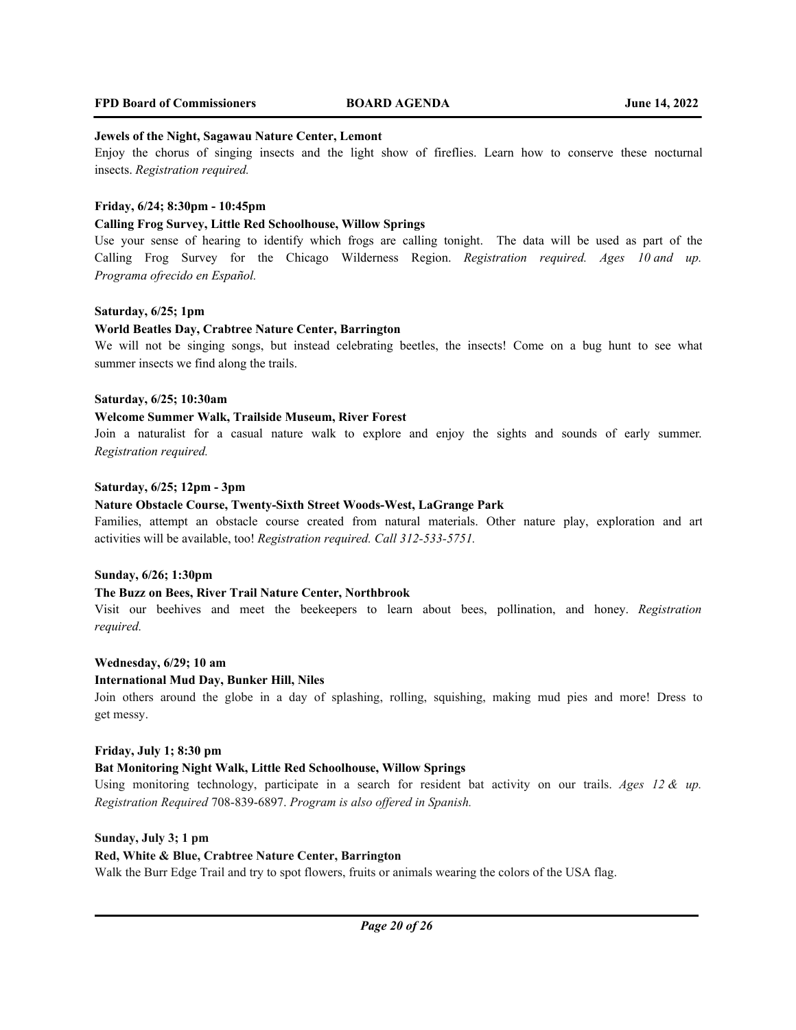#### **Jewels of the Night, Sagawau Nature Center, Lemont**

Enjoy the chorus of singing insects and the light show of fireflies. Learn how to conserve these nocturnal insects. *Registration required.*

### **Friday, 6/24; 8:30pm - 10:45pm**

#### **Calling Frog Survey, Little Red Schoolhouse, Willow Springs**

Use your sense of hearing to identify which frogs are calling tonight. The data will be used as part of the Calling Frog Survey for the Chicago Wilderness Region. *Registration required. Ages 10 and up. Programa ofrecido en Español.* 

#### **Saturday, 6/25; 1pm**

#### **World Beatles Day, Crabtree Nature Center, Barrington**

We will not be singing songs, but instead celebrating beetles, the insects! Come on a bug hunt to see what summer insects we find along the trails.

### **Saturday, 6/25; 10:30am**

## **Welcome Summer Walk, Trailside Museum, River Forest**

Join a naturalist for a casual nature walk to explore and enjoy the sights and sounds of early summer. *Registration required.*

#### **Saturday, 6/25; 12pm - 3pm**

#### **Nature Obstacle Course, Twenty-Sixth Street Woods-West, LaGrange Park**

Families, attempt an obstacle course created from natural materials. Other nature play, exploration and art activities will be available, too! *Registration required. Call 312-533-5751.*

#### **Sunday, 6/26; 1:30pm**

#### **The Buzz on Bees, River Trail Nature Center, Northbrook**

Visit our beehives and meet the beekeepers to learn about bees, pollination, and honey. *Registration required.*

#### **Wednesday, 6/29; 10 am**

#### **International Mud Day, Bunker Hill, Niles**

Join others around the globe in a day of splashing, rolling, squishing, making mud pies and more! Dress to get messy.

#### **Friday, July 1; 8:30 pm**

#### **Bat Monitoring Night Walk, Little Red Schoolhouse, Willow Springs**

Using monitoring technology, participate in a search for resident bat activity on our trails. *Ages 12 & up. Registration Required* 708-839-6897. *Program is also offered in Spanish.*

## **Sunday, July 3; 1 pm**

### **Red, White & Blue, Crabtree Nature Center, Barrington**

Walk the Burr Edge Trail and try to spot flowers, fruits or animals wearing the colors of the USA flag.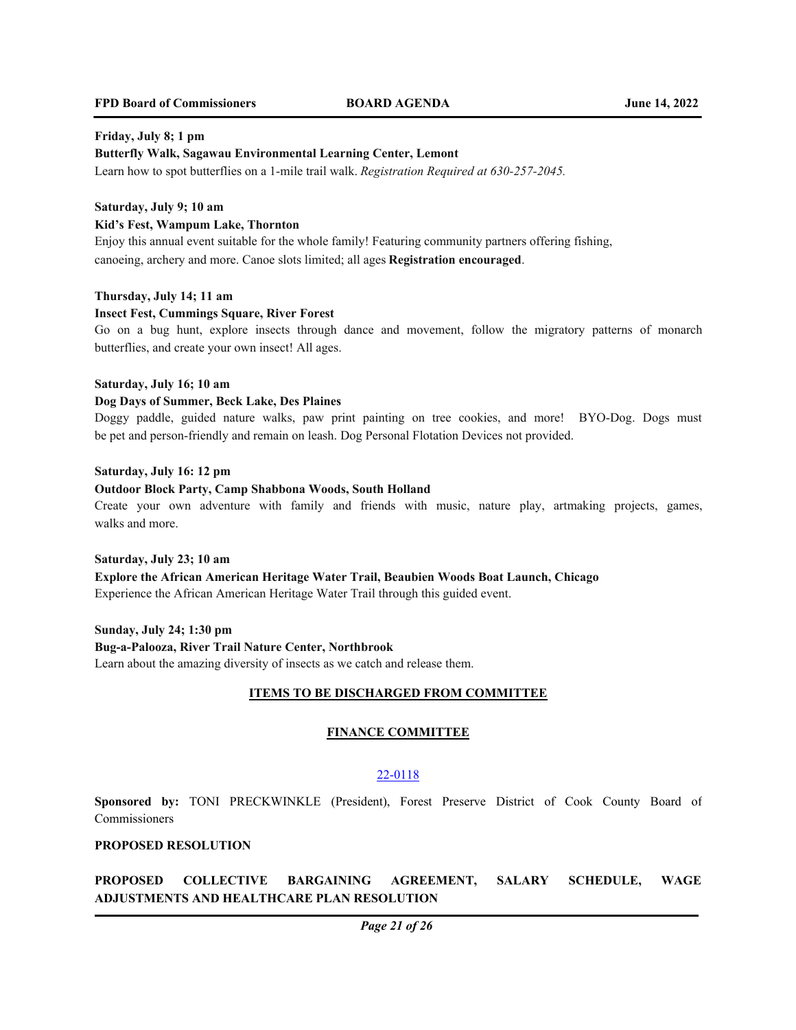## **FPD Board of Commissioners BOARD AGENDA June 14, 2022**

## **Friday, July 8; 1 pm**

#### **Butterfly Walk, Sagawau Environmental Learning Center, Lemont**

Learn how to spot butterflies on a 1-mile trail walk. *Registration Required at 630-257-2045.*

## **Saturday, July 9; 10 am**

### **Kid's Fest, Wampum Lake, Thornton**

Enjoy this annual event suitable for the whole family! Featuring community partners offering fishing, canoeing, archery and more. Canoe slots limited; all ages **Registration encouraged**.

### **Thursday, July 14; 11 am**

### **Insect Fest, Cummings Square, River Forest**

Go on a bug hunt, explore insects through dance and movement, follow the migratory patterns of monarch butterflies, and create your own insect! All ages.

#### **Saturday, July 16; 10 am**

#### **Dog Days of Summer, Beck Lake, Des Plaines**

Doggy paddle, guided nature walks, paw print painting on tree cookies, and more! BYO-Dog. Dogs must be pet and person-friendly and remain on leash. Dog Personal Flotation Devices not provided.

### **Saturday, July 16: 12 pm**

#### **Outdoor Block Party, Camp Shabbona Woods, South Holland**

Create your own adventure with family and friends with music, nature play, artmaking projects, games, walks and more.

# **Saturday, July 23; 10 am Explore the African American Heritage Water Trail, Beaubien Woods Boat Launch, Chicago**

Experience the African American Heritage Water Trail through this guided event.

**Sunday, July 24; 1:30 pm Bug-a-Palooza, River Trail Nature Center, Northbrook** Learn about the amazing diversity of insects as we catch and release them.

### **ITEMS TO BE DISCHARGED FROM COMMITTEE**

### **FINANCE COMMITTEE**

## 22-0118

**Sponsored by:** TONI PRECKWINKLE (President), Forest Preserve District of Cook County Board of Commissioners

## **PROPOSED RESOLUTION**

**PROPOSED COLLECTIVE BARGAINING AGREEMENT, SALARY SCHEDULE, WAGE ADJUSTMENTS AND HEALTHCARE PLAN RESOLUTION**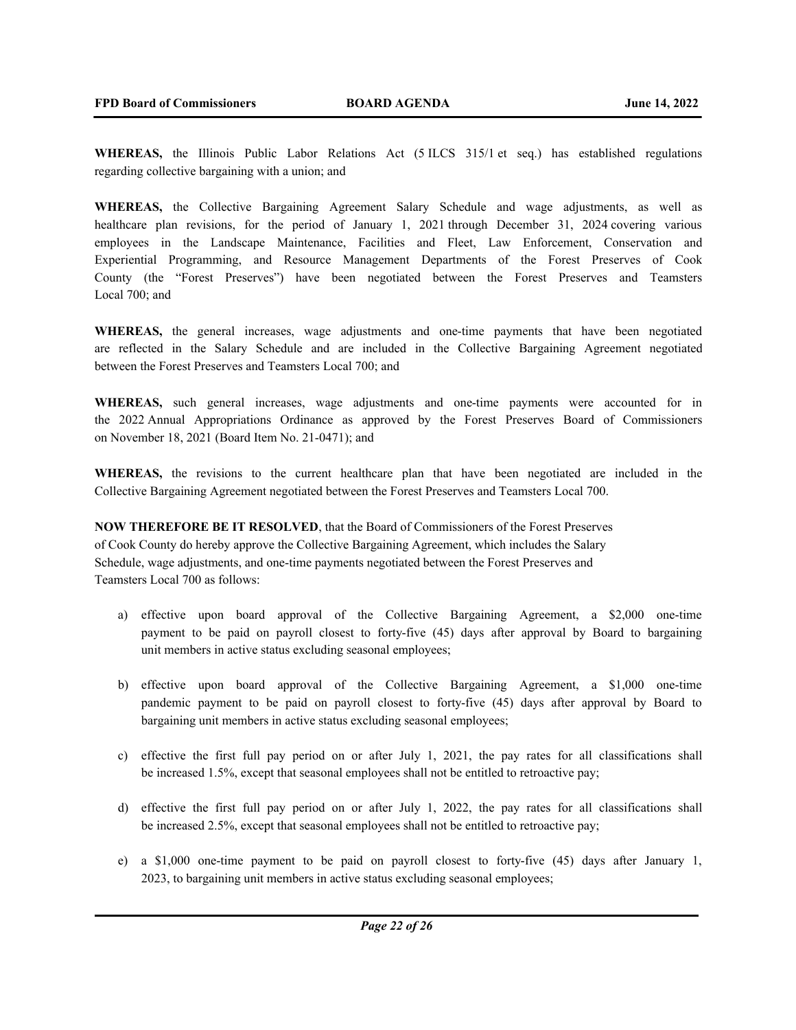**WHEREAS,** the Illinois Public Labor Relations Act (5 ILCS 315/1 et seq.) has established regulations regarding collective bargaining with a union; and

**WHEREAS,** the Collective Bargaining Agreement Salary Schedule and wage adjustments, as well as healthcare plan revisions, for the period of January 1, 2021 through December 31, 2024 covering various employees in the Landscape Maintenance, Facilities and Fleet, Law Enforcement, Conservation and Experiential Programming, and Resource Management Departments of the Forest Preserves of Cook County (the "Forest Preserves") have been negotiated between the Forest Preserves and Teamsters Local 700; and

**WHEREAS,** the general increases, wage adjustments and one-time payments that have been negotiated are reflected in the Salary Schedule and are included in the Collective Bargaining Agreement negotiated between the Forest Preserves and Teamsters Local 700; and

**WHEREAS,** such general increases, wage adjustments and one-time payments were accounted for in the 2022 Annual Appropriations Ordinance as approved by the Forest Preserves Board of Commissioners on November 18, 2021 (Board Item No. 21-0471); and

**WHEREAS,** the revisions to the current healthcare plan that have been negotiated are included in the Collective Bargaining Agreement negotiated between the Forest Preserves and Teamsters Local 700.

**NOW THEREFORE BE IT RESOLVED**, that the Board of Commissioners of the Forest Preserves of Cook County do hereby approve the Collective Bargaining Agreement, which includes the Salary Schedule, wage adjustments, and one-time payments negotiated between the Forest Preserves and Teamsters Local 700 as follows:

- a) effective upon board approval of the Collective Bargaining Agreement, a \$2,000 one-time payment to be paid on payroll closest to forty-five (45) days after approval by Board to bargaining unit members in active status excluding seasonal employees;
- b) effective upon board approval of the Collective Bargaining Agreement, a \$1,000 one-time pandemic payment to be paid on payroll closest to forty-five (45) days after approval by Board to bargaining unit members in active status excluding seasonal employees;
- c) effective the first full pay period on or after July 1, 2021, the pay rates for all classifications shall be increased 1.5%, except that seasonal employees shall not be entitled to retroactive pay;
- d) effective the first full pay period on or after July 1, 2022, the pay rates for all classifications shall be increased 2.5%, except that seasonal employees shall not be entitled to retroactive pay;
- e) a \$1,000 one-time payment to be paid on payroll closest to forty-five (45) days after January 1, 2023, to bargaining unit members in active status excluding seasonal employees;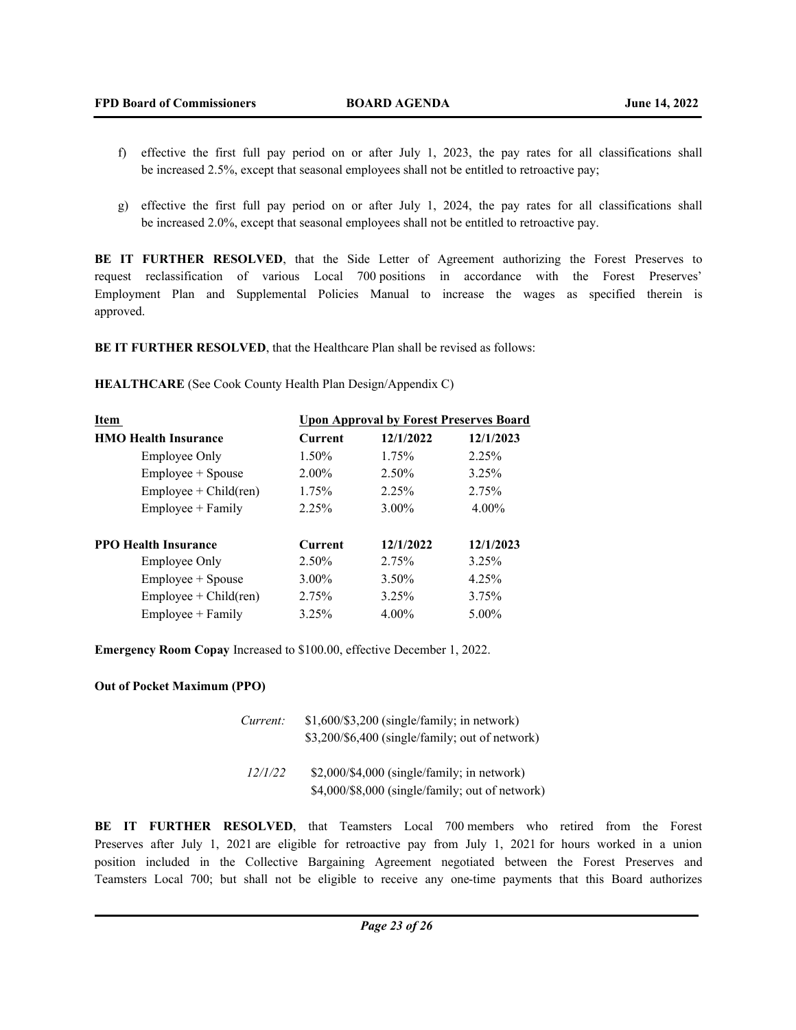- f) effective the first full pay period on or after July 1, 2023, the pay rates for all classifications shall be increased 2.5%, except that seasonal employees shall not be entitled to retroactive pay;
- g) effective the first full pay period on or after July 1, 2024, the pay rates for all classifications shall be increased 2.0%, except that seasonal employees shall not be entitled to retroactive pay.

BE IT FURTHER RESOLVED, that the Side Letter of Agreement authorizing the Forest Preserves to request reclassification of various Local 700 positions in accordance with the Forest Preserves' Employment Plan and Supplemental Policies Manual to increase the wages as specified therein is approved.

**BE IT FURTHER RESOLVED**, that the Healthcare Plan shall be revised as follows:

**HEALTHCARE** (See Cook County Health Plan Design/Appendix C)

| Item                        | <b>Upon Approval by Forest Preserves Board</b> |           |           |
|-----------------------------|------------------------------------------------|-----------|-----------|
| <b>HMO Health Insurance</b> | <b>Current</b>                                 | 12/1/2022 | 12/1/2023 |
| <b>Employee Only</b>        | 1.50%                                          | 1.75%     | 2.25%     |
| Employee + Spouse           | $2.00\%$                                       | 2.50%     | 3.25%     |
| $Employee + Child (ren)$    | 1.75%                                          | 2.25%     | 2.75%     |
| $Employee + Family$         | 2.25%                                          | $3.00\%$  | $4.00\%$  |
| <b>PPO Health Insurance</b> | <b>Current</b>                                 | 12/1/2022 | 12/1/2023 |
| Employee Only               | 2.50%                                          | 2.75%     | 3.25%     |
| Employee + Spouse           | 3.00%                                          | 3.50%     | 4.25%     |
| $Employee + Child (ren)$    | 2.75%                                          | 3.25%     | 3.75%     |
| Employee + Family           | 3.25%                                          | $4.00\%$  | 5.00%     |

**Emergency Room Copay** Increased to \$100.00, effective December 1, 2022.

## **Out of Pocket Maximum (PPO)**

| Current: | $$1,600/\$3,200$ (single/family; in network)<br>\$3,200/\$6,400 (single/family; out of network)  |
|----------|--------------------------------------------------------------------------------------------------|
| 12/1/22  | $$2,000$ /\$4,000 (single/family; in network)<br>\$4,000/\$8,000 (single/family; out of network) |

**BE IT FURTHER RESOLVED**, that Teamsters Local 700 members who retired from the Forest Preserves after July 1, 2021 are eligible for retroactive pay from July 1, 2021 for hours worked in a union position included in the Collective Bargaining Agreement negotiated between the Forest Preserves and Teamsters Local 700; but shall not be eligible to receive any one-time payments that this Board authorizes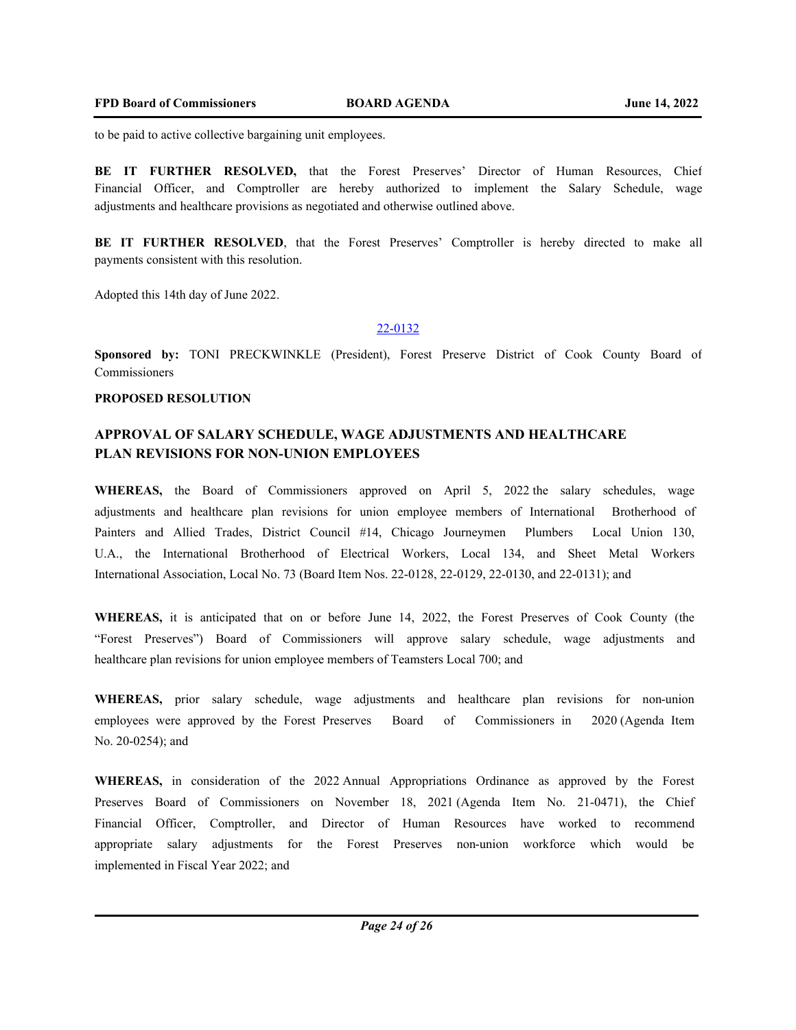to be paid to active collective bargaining unit employees.

**BE IT FURTHER RESOLVED,** that the Forest Preserves' Director of Human Resources, Chief Financial Officer, and Comptroller are hereby authorized to implement the Salary Schedule, wage adjustments and healthcare provisions as negotiated and otherwise outlined above.

**BE IT FURTHER RESOLVED**, that the Forest Preserves' Comptroller is hereby directed to make all payments consistent with this resolution.

Adopted this 14th day of June 2022.

## 22-0132

**Sponsored by:** TONI PRECKWINKLE (President), Forest Preserve District of Cook County Board of Commissioners

#### **PROPOSED RESOLUTION**

# **APPROVAL OF SALARY SCHEDULE, WAGE ADJUSTMENTS AND HEALTHCARE PLAN REVISIONS FOR NON-UNION EMPLOYEES**

**WHEREAS,** the Board of Commissioners approved on April 5, 2022 the salary schedules, wage adjustments and healthcare plan revisions for union employee members of International Brotherhood of Painters and Allied Trades, District Council #14, Chicago Journeymen Plumbers Local Union 130, U.A., the International Brotherhood of Electrical Workers, Local 134, and Sheet Metal Workers International Association, Local No. 73 (Board Item Nos. 22-0128, 22-0129, 22-0130, and 22-0131); and

**WHEREAS,** it is anticipated that on or before June 14, 2022, the Forest Preserves of Cook County (the "Forest Preserves") Board of Commissioners will approve salary schedule, wage adjustments and healthcare plan revisions for union employee members of Teamsters Local 700; and

**WHEREAS,** prior salary schedule, wage adjustments and healthcare plan revisions for non-union employees were approved by the Forest Preserves Board of Commissioners in 2020 (Agenda Item No. 20-0254); and

**WHEREAS,** in consideration of the 2022 Annual Appropriations Ordinance as approved by the Forest Preserves Board of Commissioners on November 18, 2021 (Agenda Item No. 21-0471), the Chief Financial Officer, Comptroller, and Director of Human Resources have worked to recommend appropriate salary adjustments for the Forest Preserves non-union workforce which would be implemented in Fiscal Year 2022; and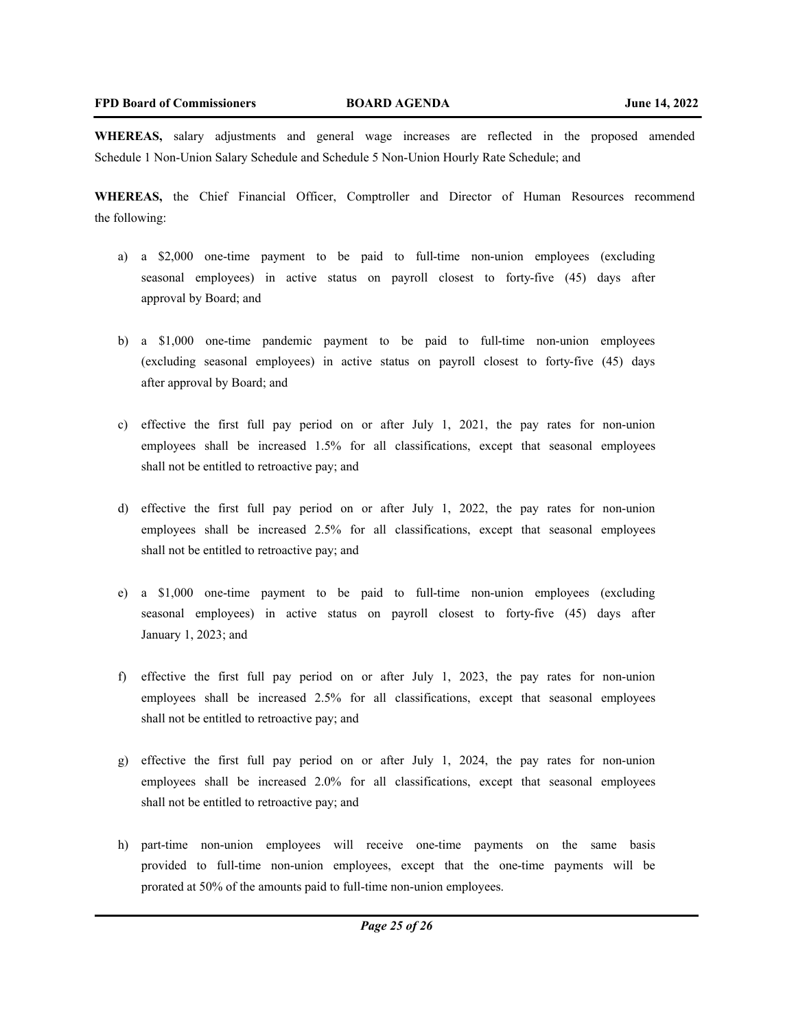**WHEREAS,** salary adjustments and general wage increases are reflected in the proposed amended Schedule 1 Non-Union Salary Schedule and Schedule 5 Non-Union Hourly Rate Schedule; and

**WHEREAS,** the Chief Financial Officer, Comptroller and Director of Human Resources recommend the following:

- a) a \$2,000 one-time payment to be paid to full-time non-union employees (excluding seasonal employees) in active status on payroll closest to forty-five (45) days after approval by Board; and
- b) a \$1,000 one-time pandemic payment to be paid to full-time non-union employees (excluding seasonal employees) in active status on payroll closest to forty-five (45) days after approval by Board; and
- c) effective the first full pay period on or after July 1, 2021, the pay rates for non-union employees shall be increased 1.5% for all classifications, except that seasonal employees shall not be entitled to retroactive pay; and
- d) effective the first full pay period on or after July 1, 2022, the pay rates for non-union employees shall be increased 2.5% for all classifications, except that seasonal employees shall not be entitled to retroactive pay; and
- e) a \$1,000 one-time payment to be paid to full-time non-union employees (excluding seasonal employees) in active status on payroll closest to forty-five (45) days after January 1, 2023; and
- f) effective the first full pay period on or after July 1, 2023, the pay rates for non-union employees shall be increased 2.5% for all classifications, except that seasonal employees shall not be entitled to retroactive pay; and
- g) effective the first full pay period on or after July 1, 2024, the pay rates for non-union employees shall be increased 2.0% for all classifications, except that seasonal employees shall not be entitled to retroactive pay; and
- h) part-time non-union employees will receive one-time payments on the same basis provided to full-time non-union employees, except that the one-time payments will be prorated at 50% of the amounts paid to full-time non-union employees.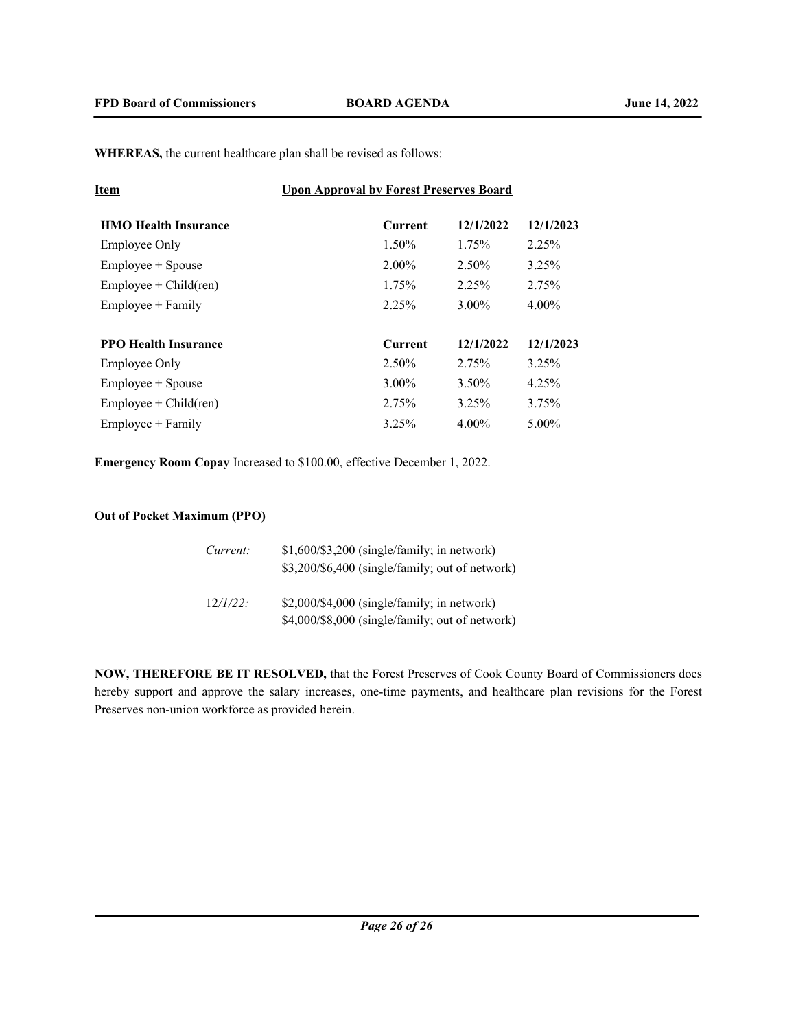**WHEREAS,** the current healthcare plan shall be revised as follows:

| <u>Item</u>                 | <b>Upon Approval by Forest Preserves Board</b> |           |           |
|-----------------------------|------------------------------------------------|-----------|-----------|
| <b>HMO</b> Health Insurance | Current                                        | 12/1/2022 | 12/1/2023 |
| <b>Employee Only</b>        | 1.50%                                          | 1.75%     | 2.25%     |
| Employee + Spouse           | $2.00\%$                                       | $2.50\%$  | 3.25%     |
| $Employee + Child (ren)$    | 1.75%                                          | 2.25%     | 2.75%     |
| $Employee + Family$         | 2.25%                                          | $3.00\%$  | $4.00\%$  |
| <b>PPO Health Insurance</b> | <b>Current</b>                                 | 12/1/2022 | 12/1/2023 |
| <b>Employee Only</b>        | 2.50%                                          | 2.75%     | 3.25%     |
| Employee + Spouse           | $3.00\%$                                       | 3.50%     | 4.25%     |
| $Employee + Child (ren)$    | 2.75%                                          | 3.25%     | 3.75%     |
| $Emplovee + Family$         | 3.25%                                          | $4.00\%$  | 5.00%     |

**Emergency Room Copay** Increased to \$100.00, effective December 1, 2022.

# **Out of Pocket Maximum (PPO)**

| Current:    | \$1,600/\$3,200 (single/family; in network)<br>\$3,200/\$6,400 (single/family; out of network) |
|-------------|------------------------------------------------------------------------------------------------|
| $12/l/22$ : | \$2,000/\$4,000 (single/family; in network)<br>\$4,000/\$8,000 (single/family; out of network) |

**NOW, THEREFORE BE IT RESOLVED,** that the Forest Preserves of Cook County Board of Commissioners does hereby support and approve the salary increases, one-time payments, and healthcare plan revisions for the Forest Preserves non-union workforce as provided herein.